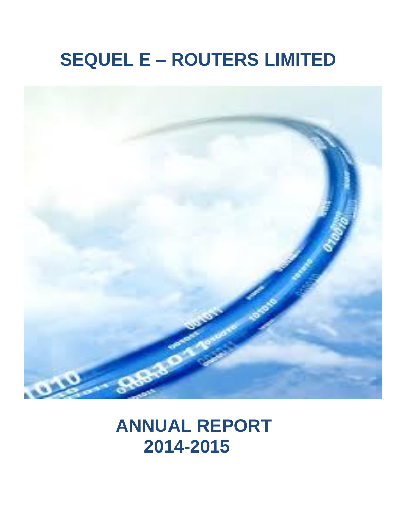# **SEQUEL E – ROUTERS LIMITED**



# **ANNUAL REPORT 2014-2015**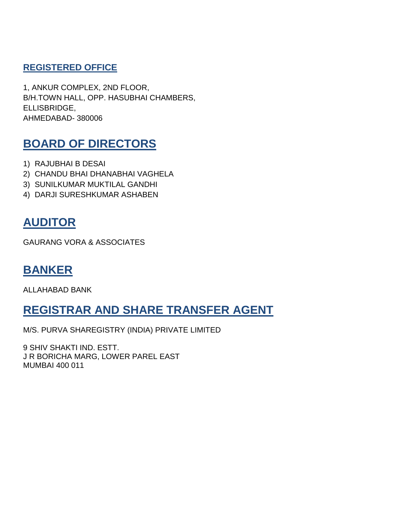# **REGISTERED OFFICE**

1, ANKUR COMPLEX, 2ND FLOOR, B/H.TOWN HALL, OPP. HASUBHAI CHAMBERS, ELLISBRIDGE, AHMEDABAD- 380006

# **BOARD OF DIRECTORS**

- 1) RAJUBHAI B DESAI
- 2) CHANDU BHAI DHANABHAI VAGHELA
- 3) SUNILKUMAR MUKTILAL GANDHI
- 4) DARJI SURESHKUMAR ASHABEN

# **AUDITOR**

GAURANG VORA & ASSOCIATES

# **BANKER**

ALLAHABAD BANK

# **REGISTRAR AND SHARE TRANSFER AGENT**

M/S. PURVA SHAREGISTRY (INDIA) PRIVATE LIMITED

9 SHIV SHAKTI IND. ESTT. J R BORICHA MARG, LOWER PAREL EAST MUMBAI 400 011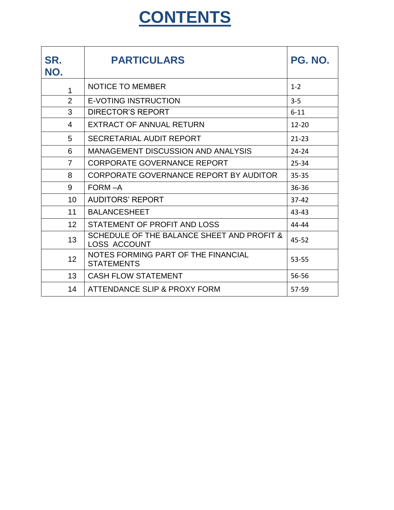# **CONTENTS**

| SR.<br>NO.      | <b>PARTICULARS</b>                                                | PG. NO.   |
|-----------------|-------------------------------------------------------------------|-----------|
| 1               | <b>NOTICE TO MEMBER</b>                                           | $1 - 2$   |
| $\overline{2}$  | <b>E-VOTING INSTRUCTION</b>                                       | $3-5$     |
| 3               | <b>DIRECTOR'S REPORT</b>                                          | $6 - 11$  |
| 4               | <b>EXTRACT OF ANNUAL RETURN</b>                                   | $12 - 20$ |
| 5               | SECRETARIAL AUDIT REPORT                                          | $21 - 23$ |
| 6               | <b>MANAGEMENT DISCUSSION AND ANALYSIS</b>                         | $24 - 24$ |
| $\overline{7}$  | <b>CORPORATE GOVERNANCE REPORT</b>                                | 25-34     |
| 8               | CORPORATE GOVERNANCE REPORT BY AUDITOR                            | $35 - 35$ |
| 9               | FORM-A                                                            | 36-36     |
| 10 <sup>1</sup> | <b>AUDITORS' REPORT</b>                                           | $37 - 42$ |
| 11              | <b>BALANCESHEET</b>                                               | 43-43     |
| 12              | STATEMENT OF PROFIT AND LOSS                                      | 44-44     |
| 13              | SCHEDULE OF THE BALANCE SHEET AND PROFIT &<br><b>LOSS ACCOUNT</b> | $45 - 52$ |
| 12 <sup>2</sup> | NOTES FORMING PART OF THE FINANCIAL<br><b>STATEMENTS</b>          | 53-55     |
| 13              | <b>CASH FLOW STATEMENT</b>                                        | 56-56     |
| 14              | ATTENDANCE SLIP & PROXY FORM                                      | 57-59     |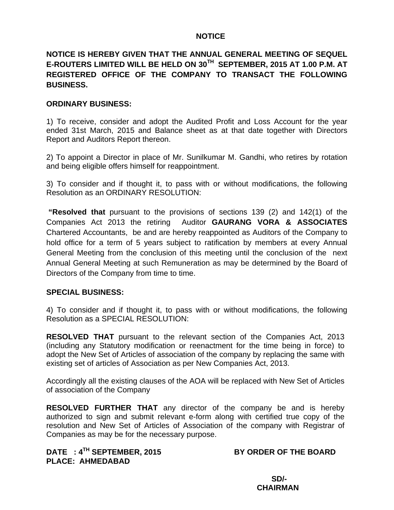# **NOTICE**

# **NOTICE IS HEREBY GIVEN THAT THE ANNUAL GENERAL MEETING OF SEQUEL E-ROUTERS LIMITED WILL BE HELD ON 30TH SEPTEMBER, 2015 AT 1.00 P.M. AT REGISTERED OFFICE OF THE COMPANY TO TRANSACT THE FOLLOWING BUSINESS.**

# **ORDINARY BUSINESS:**

1) To receive, consider and adopt the Audited Profit and Loss Account for the year ended 31st March, 2015 and Balance sheet as at that date together with Directors Report and Auditors Report thereon.

2) To appoint a Director in place of Mr. Sunilkumar M. Gandhi, who retires by rotation and being eligible offers himself for reappointment.

3) To consider and if thought it, to pass with or without modifications, the following Resolution as an ORDINARY RESOLUTION:

 **"Resolved that** pursuant to the provisions of sections 139 (2) and 142(1) of the Companies Act 2013 the retiring Auditor **GAURANG VORA & ASSOCIATES** Chartered Accountants, be and are hereby reappointed as Auditors of the Company to hold office for a term of 5 years subject to ratification by members at every Annual General Meeting from the conclusion of this meeting until the conclusion of the next Annual General Meeting at such Remuneration as may be determined by the Board of Directors of the Company from time to time.

#### **SPECIAL BUSINESS:**

4) To consider and if thought it, to pass with or without modifications, the following Resolution as a SPECIAL RESOLUTION:

**RESOLVED THAT** pursuant to the relevant section of the Companies Act, 2013 (including any Statutory modification or reenactment for the time being in force) to adopt the New Set of Articles of association of the company by replacing the same with existing set of articles of Association as per New Companies Act, 2013.

Accordingly all the existing clauses of the AOA will be replaced with New Set of Articles of association of the Company

**RESOLVED FURTHER THAT** any director of the company be and is hereby authorized to sign and submit relevant e-form along with certified true copy of the resolution and New Set of Articles of Association of the company with Registrar of Companies as may be for the necessary purpose.

DATE : 4<sup>TH</sup> SEPTEMBER, 2015 BY ORDER OF THE BOARD **PLACE: AHMEDABAD** 

 **SD/- CHAIRMAN**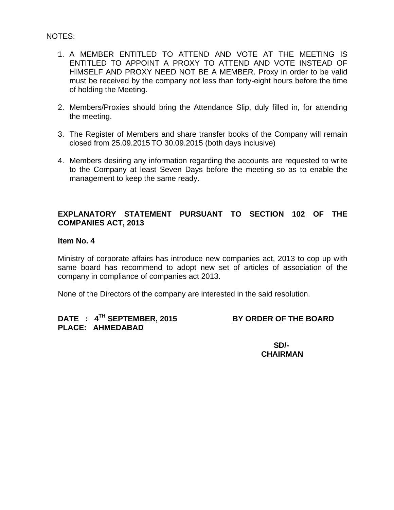## NOTES:

- 1. A MEMBER ENTITLED TO ATTEND AND VOTE AT THE MEETING IS ENTITLED TO APPOINT A PROXY TO ATTEND AND VOTE INSTEAD OF HIMSELF AND PROXY NEED NOT BE A MEMBER. Proxy in order to be valid must be received by the company not less than forty-eight hours before the time of holding the Meeting.
- 2. Members/Proxies should bring the Attendance Slip, duly filled in, for attending the meeting.
- 3. The Register of Members and share transfer books of the Company will remain closed from 25.09.2015 TO 30.09.2015 (both days inclusive)
- 4. Members desiring any information regarding the accounts are requested to write to the Company at least Seven Days before the meeting so as to enable the management to keep the same ready.

# **EXPLANATORY STATEMENT PURSUANT TO SECTION 102 OF THE COMPANIES ACT, 2013**

## **Item No. 4**

Ministry of corporate affairs has introduce new companies act, 2013 to cop up with same board has recommend to adopt new set of articles of association of the company in compliance of companies act 2013.

None of the Directors of the company are interested in the said resolution.

# DATE : 4<sup>TH</sup> SEPTEMBER, 2015 BY ORDER OF THE BOARD **PLACE: AHMEDABAD**

 **SD/- CHAIRMAN**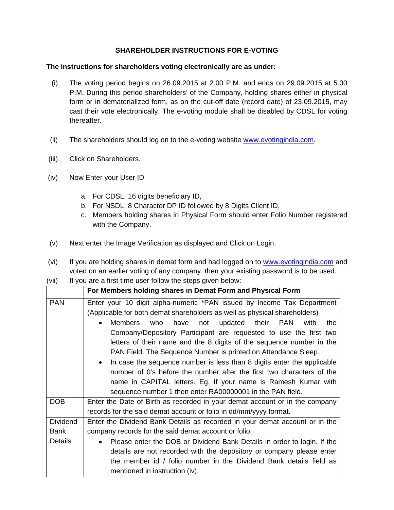# **SHAREHOLDER INSTRUCTIONS FOR E-VOTING**

#### **The instructions for shareholders voting electronically are as under:**

- (i) The voting period begins on 26.09.2015 at 2.00 P.M. and ends on 29.09.2015 at 5.00 P.M. During this period shareholders' of the Company, holding shares either in physical form or in dematerialized form, as on the cut-off date (record date) of 23.09.2015, may cast their vote electronically. The e-voting module shall be disabled by CDSL for voting thereafter.
- (ii) The shareholders should log on to the e-voting website www.evotingindia.com.
- (iii) Click on Shareholders.
- (iv) Now Enter your User ID
	- a. For CDSL: 16 digits beneficiary ID,
	- b. For NSDL: 8 Character DP ID followed by 8 Digits Client ID,
	- c. Members holding shares in Physical Form should enter Folio Number registered with the Company.
- (v) Next enter the Image Verification as displayed and Click on Login.
- (vi) If you are holding shares in demat form and had logged on to www.evotingindia.com and voted on an earlier voting of any company, then your existing password is to be used.

| (vii) | If you are a first time user follow the steps given below: |  |
|-------|------------------------------------------------------------|--|
|-------|------------------------------------------------------------|--|

|                 | For Members holding shares in Demat Form and Physical Form                  |  |  |  |  |
|-----------------|-----------------------------------------------------------------------------|--|--|--|--|
| <b>PAN</b>      | Enter your 10 digit alpha-numeric *PAN issued by Income Tax Department      |  |  |  |  |
|                 | (Applicable for both demat shareholders as well as physical shareholders)   |  |  |  |  |
|                 | Members<br>who<br>have<br>not updated their PAN<br>with<br>the              |  |  |  |  |
|                 | Company/Depository Participant are requested to use the first two           |  |  |  |  |
|                 | letters of their name and the 8 digits of the sequence number in the        |  |  |  |  |
|                 | PAN Field. The Sequence Number is printed on Attendance Sleep.              |  |  |  |  |
|                 | In case the sequence number is less than 8 digits enter the applicable      |  |  |  |  |
|                 | number of 0's before the number after the first two characters of the       |  |  |  |  |
|                 | name in CAPITAL letters. Eg. If your name is Ramesh Kumar with              |  |  |  |  |
|                 | sequence number 1 then enter RA00000001 in the PAN field.                   |  |  |  |  |
| DOB             | Enter the Date of Birth as recorded in your demat account or in the company |  |  |  |  |
|                 | records for the said demat account or folio in dd/mm/yyyy format.           |  |  |  |  |
| <b>Dividend</b> | Enter the Dividend Bank Details as recorded in your demat account or in the |  |  |  |  |
| <b>Bank</b>     | company records for the said demat account or folio.                        |  |  |  |  |
| <b>Details</b>  | Please enter the DOB or Dividend Bank Details in order to login. If the     |  |  |  |  |
|                 | details are not recorded with the depository or company please enter        |  |  |  |  |
|                 | the member id / folio number in the Dividend Bank details field as          |  |  |  |  |
|                 | mentioned in instruction (iv).                                              |  |  |  |  |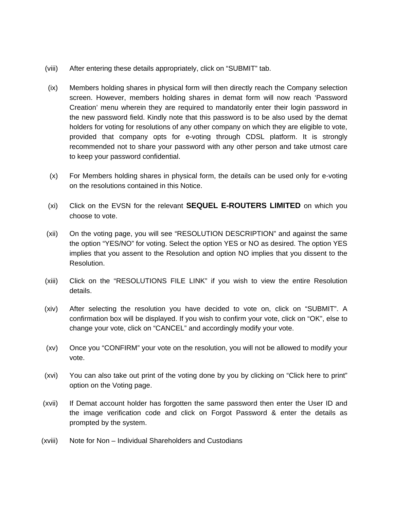- (viii) After entering these details appropriately, click on "SUBMIT" tab.
- (ix) Members holding shares in physical form will then directly reach the Company selection screen. However, members holding shares in demat form will now reach 'Password Creation' menu wherein they are required to mandatorily enter their login password in the new password field. Kindly note that this password is to be also used by the demat holders for voting for resolutions of any other company on which they are eligible to vote, provided that company opts for e-voting through CDSL platform. It is strongly recommended not to share your password with any other person and take utmost care to keep your password confidential.
- (x) For Members holding shares in physical form, the details can be used only for e-voting on the resolutions contained in this Notice.
- (xi) Click on the EVSN for the relevant **SEQUEL E-ROUTERS LIMITED** on which you choose to vote.
- (xii) On the voting page, you will see "RESOLUTION DESCRIPTION" and against the same the option "YES/NO" for voting. Select the option YES or NO as desired. The option YES implies that you assent to the Resolution and option NO implies that you dissent to the Resolution.
- (xiii) Click on the "RESOLUTIONS FILE LINK" if you wish to view the entire Resolution details.
- (xiv) After selecting the resolution you have decided to vote on, click on "SUBMIT". A confirmation box will be displayed. If you wish to confirm your vote, click on "OK", else to change your vote, click on "CANCEL" and accordingly modify your vote.
- (xv) Once you "CONFIRM" your vote on the resolution, you will not be allowed to modify your vote.
- (xvi) You can also take out print of the voting done by you by clicking on "Click here to print" option on the Voting page.
- (xvii) If Demat account holder has forgotten the same password then enter the User ID and the image verification code and click on Forgot Password & enter the details as prompted by the system.
- (xviii) Note for Non Individual Shareholders and Custodians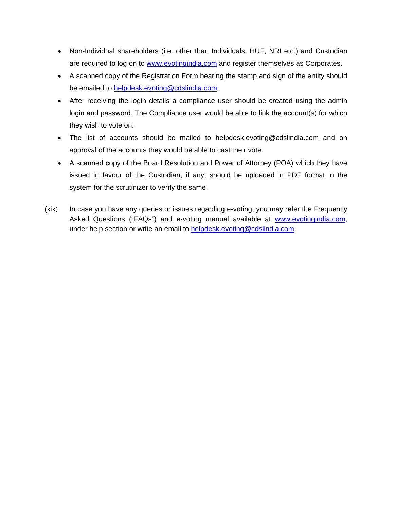- Non-Individual shareholders (i.e. other than Individuals, HUF, NRI etc.) and Custodian are required to log on to www.evotingindia.com and register themselves as Corporates.
- A scanned copy of the Registration Form bearing the stamp and sign of the entity should be emailed to helpdesk.evoting@cdslindia.com.
- After receiving the login details a compliance user should be created using the admin login and password. The Compliance user would be able to link the account(s) for which they wish to vote on.
- The list of accounts should be mailed to helpdesk.evoting@cdslindia.com and on approval of the accounts they would be able to cast their vote.
- A scanned copy of the Board Resolution and Power of Attorney (POA) which they have issued in favour of the Custodian, if any, should be uploaded in PDF format in the system for the scrutinizer to verify the same.
- (xix) In case you have any queries or issues regarding e-voting, you may refer the Frequently Asked Questions ("FAQs") and e-voting manual available at www.evotingindia.com, under help section or write an email to helpdesk.evoting@cdslindia.com.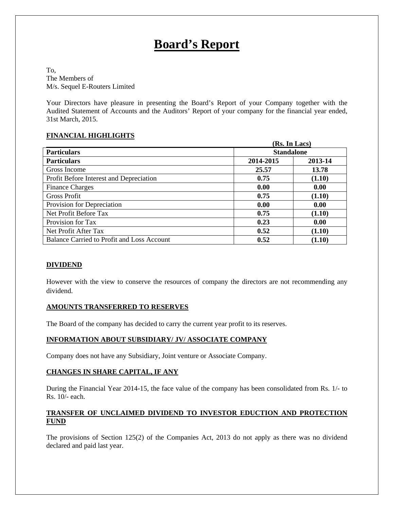# **Board's Report**

To, The Members of M/s. Sequel E-Routers Limited

Your Directors have pleasure in presenting the Board's Report of your Company together with the Audited Statement of Accounts and the Auditors' Report of your company for the financial year ended, 31st March, 2015.

#### **FINANCIAL HIGHLIGHTS**

| (Rs. In Lacs)                                     |           |                   |  |
|---------------------------------------------------|-----------|-------------------|--|
| <b>Particulars</b>                                |           | <b>Standalone</b> |  |
| <b>Particulars</b>                                | 2014-2015 | 2013-14           |  |
| Gross Income                                      | 25.57     | 13.78             |  |
| Profit Before Interest and Depreciation           | 0.75      | (1.10)            |  |
| <b>Finance Charges</b>                            | 0.00      | 0.00              |  |
| <b>Gross Profit</b>                               | 0.75      | (1.10)            |  |
| Provision for Depreciation                        | 0.00      | 0.00              |  |
| Net Profit Before Tax                             | 0.75      | (1.10)            |  |
| Provision for Tax                                 | 0.23      | 0.00              |  |
| Net Profit After Tax                              | 0.52      | (1.10)            |  |
| <b>Balance Carried to Profit and Loss Account</b> | 0.52      | (1.10)            |  |

#### **DIVIDEND**

However with the view to conserve the resources of company the directors are not recommending any dividend.

#### **AMOUNTS TRANSFERRED TO RESERVES**

The Board of the company has decided to carry the current year profit to its reserves.

#### **INFORMATION ABOUT SUBSIDIARY/ JV/ ASSOCIATE COMPANY**

Company does not have any Subsidiary, Joint venture or Associate Company.

#### **CHANGES IN SHARE CAPITAL, IF ANY**

During the Financial Year 2014-15, the face value of the company has been consolidated from Rs. 1/- to Rs. 10/- each.

#### **TRANSFER OF UNCLAIMED DIVIDEND TO INVESTOR EDUCTION AND PROTECTION FUND**

The provisions of Section 125(2) of the Companies Act, 2013 do not apply as there was no dividend declared and paid last year.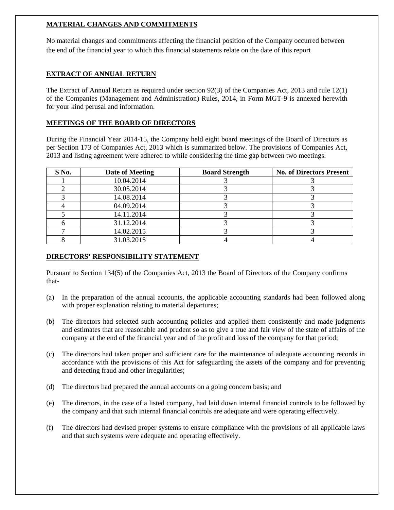## **MATERIAL CHANGES AND COMMITMENTS**

No material changes and commitments affecting the financial position of the Company occurred between the end of the financial year to which this financial statements relate on the date of this report

## **EXTRACT OF ANNUAL RETURN**

The Extract of Annual Return as required under section 92(3) of the Companies Act, 2013 and rule 12(1) of the Companies (Management and Administration) Rules, 2014, in Form MGT-9 is annexed herewith for your kind perusal and information.

#### **MEETINGS OF THE BOARD OF DIRECTORS**

During the Financial Year 2014-15, the Company held eight board meetings of the Board of Directors as per Section 173 of Companies Act, 2013 which is summarized below. The provisions of Companies Act, 2013 and listing agreement were adhered to while considering the time gap between two meetings.

| S No. | Date of Meeting | <b>Board Strength</b> | <b>No. of Directors Present</b> |
|-------|-----------------|-----------------------|---------------------------------|
|       | 10.04.2014      |                       |                                 |
|       | 30.05.2014      |                       |                                 |
|       | 14.08.2014      |                       |                                 |
|       | 04.09.2014      |                       |                                 |
|       | 14.11.2014      |                       |                                 |
|       | 31.12.2014      |                       |                                 |
|       | 14.02.2015      |                       |                                 |
|       | 31.03.2015      |                       |                                 |

#### **DIRECTORS' RESPONSIBILITY STATEMENT**

Pursuant to Section 134(5) of the Companies Act, 2013 the Board of Directors of the Company confirms that-

- (a) In the preparation of the annual accounts, the applicable accounting standards had been followed along with proper explanation relating to material departures;
- (b) The directors had selected such accounting policies and applied them consistently and made judgments and estimates that are reasonable and prudent so as to give a true and fair view of the state of affairs of the company at the end of the financial year and of the profit and loss of the company for that period;
- (c) The directors had taken proper and sufficient care for the maintenance of adequate accounting records in accordance with the provisions of this Act for safeguarding the assets of the company and for preventing and detecting fraud and other irregularities;
- (d) The directors had prepared the annual accounts on a going concern basis; and
- (e) The directors, in the case of a listed company, had laid down internal financial controls to be followed by the company and that such internal financial controls are adequate and were operating effectively.
- (f) The directors had devised proper systems to ensure compliance with the provisions of all applicable laws and that such systems were adequate and operating effectively.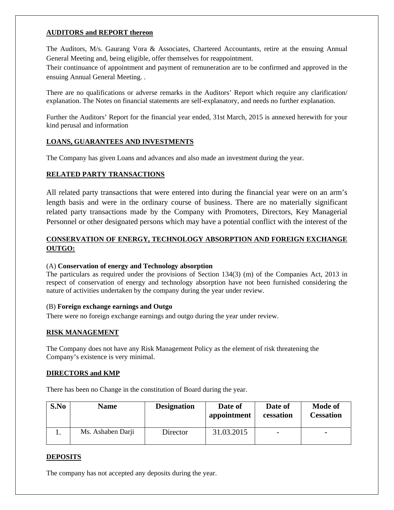#### **AUDITORS and REPORT thereon**

The Auditors, M/s. Gaurang Vora & Associates, Chartered Accountants, retire at the ensuing Annual General Meeting and, being eligible, offer themselves for reappointment.

Their continuance of appointment and payment of remuneration are to be confirmed and approved in the ensuing Annual General Meeting. .

There are no qualifications or adverse remarks in the Auditors' Report which require any clarification/ explanation. The Notes on financial statements are self-explanatory, and needs no further explanation.

Further the Auditors' Report for the financial year ended, 31st March, 2015 is annexed herewith for your kind perusal and information

#### **LOANS, GUARANTEES AND INVESTMENTS**

The Company has given Loans and advances and also made an investment during the year.

#### **RELATED PARTY TRANSACTIONS**

All related party transactions that were entered into during the financial year were on an arm's length basis and were in the ordinary course of business. There are no materially significant related party transactions made by the Company with Promoters, Directors, Key Managerial Personnel or other designated persons which may have a potential conflict with the interest of the

## **CONSERVATION OF ENERGY, TECHNOLOGY ABSORPTION AND FOREIGN EXCHANGE OUTGO:**

#### (A) **Conservation of energy and Technology absorption**

The particulars as required under the provisions of Section 134(3) (m) of the Companies Act, 2013 in respect of conservation of energy and technology absorption have not been furnished considering the nature of activities undertaken by the company during the year under review.

#### (B) **Foreign exchange earnings and Outgo**

There were no foreign exchange earnings and outgo during the year under review.

#### **RISK MANAGEMENT**

The Company does not have any Risk Management Policy as the element of risk threatening the Company's existence is very minimal.

#### **DIRECTORS and KMP**

There has been no Change in the constitution of Board during the year.

| S.No | <b>Name</b>       | <b>Designation</b> | Date of<br>appointment | Date of<br>cessation     | <b>Mode of</b><br><b>Cessation</b> |
|------|-------------------|--------------------|------------------------|--------------------------|------------------------------------|
|      | Ms. Ashaben Darji | Director           | 31.03.2015             | $\overline{\phantom{m}}$ | ۰                                  |

#### **DEPOSITS**

The company has not accepted any deposits during the year.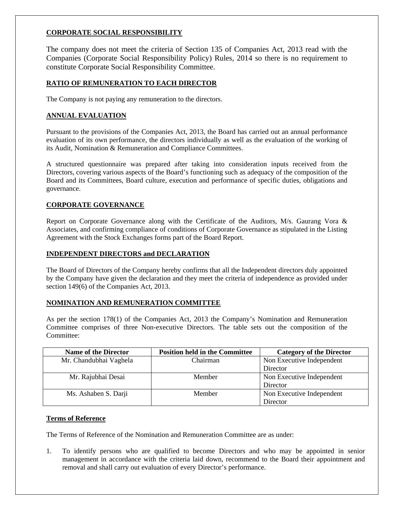#### **CORPORATE SOCIAL RESPONSIBILITY**

The company does not meet the criteria of Section 135 of Companies Act, 2013 read with the Companies (Corporate Social Responsibility Policy) Rules, 2014 so there is no requirement to constitute Corporate Social Responsibility Committee.

#### **RATIO OF REMUNERATION TO EACH DIRECTOR**

The Company is not paying any remuneration to the directors.

#### **ANNUAL EVALUATION**

Pursuant to the provisions of the Companies Act, 2013, the Board has carried out an annual performance evaluation of its own performance, the directors individually as well as the evaluation of the working of its Audit, Nomination & Remuneration and Compliance Committees.

A structured questionnaire was prepared after taking into consideration inputs received from the Directors, covering various aspects of the Board's functioning such as adequacy of the composition of the Board and its Committees, Board culture, execution and performance of specific duties, obligations and governance.

#### **CORPORATE GOVERNANCE**

Report on Corporate Governance along with the Certificate of the Auditors, M/s. Gaurang Vora & Associates, and confirming compliance of conditions of Corporate Governance as stipulated in the Listing Agreement with the Stock Exchanges forms part of the Board Report.

#### **INDEPENDENT DIRECTORS and DECLARATION**

The Board of Directors of the Company hereby confirms that all the Independent directors duly appointed by the Company have given the declaration and they meet the criteria of independence as provided under section 149(6) of the Companies Act, 2013.

#### **NOMINATION AND REMUNERATION COMMITTEE**

As per the section 178(1) of the Companies Act, 2013 the Company's Nomination and Remuneration Committee comprises of three Non-executive Directors. The table sets out the composition of the Committee:

| <b>Name of the Director</b> | <b>Position held in the Committee</b> | <b>Category of the Director</b> |
|-----------------------------|---------------------------------------|---------------------------------|
| Mr. Chandubhai Vaghela      | Chairman                              | Non Executive Independent       |
|                             |                                       | Director                        |
| Mr. Rajubhai Desai          | Member                                | Non Executive Independent       |
|                             |                                       | Director                        |
| Ms. Ashaben S. Darji        | Member                                | Non Executive Independent       |
|                             |                                       | Director                        |

#### **Terms of Reference**

The Terms of Reference of the Nomination and Remuneration Committee are as under:

1. To identify persons who are qualified to become Directors and who may be appointed in senior management in accordance with the criteria laid down, recommend to the Board their appointment and removal and shall carry out evaluation of every Director's performance.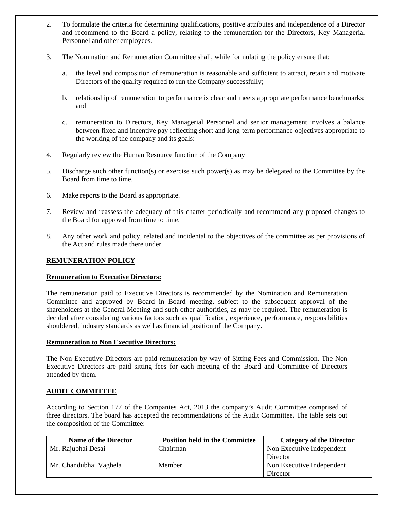- 2. To formulate the criteria for determining qualifications, positive attributes and independence of a Director and recommend to the Board a policy, relating to the remuneration for the Directors, Key Managerial Personnel and other employees.
- 3. The Nomination and Remuneration Committee shall, while formulating the policy ensure that:
	- a. the level and composition of remuneration is reasonable and sufficient to attract, retain and motivate Directors of the quality required to run the Company successfully;
	- b. relationship of remuneration to performance is clear and meets appropriate performance benchmarks; and
	- c. remuneration to Directors, Key Managerial Personnel and senior management involves a balance between fixed and incentive pay reflecting short and long-term performance objectives appropriate to the working of the company and its goals:
- 4. Regularly review the Human Resource function of the Company
- 5. Discharge such other function(s) or exercise such power(s) as may be delegated to the Committee by the Board from time to time.
- 6. Make reports to the Board as appropriate.
- 7. Review and reassess the adequacy of this charter periodically and recommend any proposed changes to the Board for approval from time to time.
- 8. Any other work and policy, related and incidental to the objectives of the committee as per provisions of the Act and rules made there under.

#### **REMUNERATION POLICY**

#### **Remuneration to Executive Directors:**

The remuneration paid to Executive Directors is recommended by the Nomination and Remuneration Committee and approved by Board in Board meeting, subject to the subsequent approval of the shareholders at the General Meeting and such other authorities, as may be required. The remuneration is decided after considering various factors such as qualification, experience, performance, responsibilities shouldered, industry standards as well as financial position of the Company.

#### **Remuneration to Non Executive Directors:**

The Non Executive Directors are paid remuneration by way of Sitting Fees and Commission. The Non Executive Directors are paid sitting fees for each meeting of the Board and Committee of Directors attended by them.

#### **AUDIT COMMITTEE**

According to Section 177 of the Companies Act, 2013 the company*'*s Audit Committee comprised of three directors. The board has accepted the recommendations of the Audit Committee. The table sets out the composition of the Committee:

| <b>Name of the Director</b> | <b>Position held in the Committee</b> | <b>Category of the Director</b> |
|-----------------------------|---------------------------------------|---------------------------------|
| Mr. Rajubhai Desai          | Chairman                              | Non Executive Independent       |
|                             |                                       | Director                        |
| Mr. Chandubhai Vaghela      | Member                                | Non Executive Independent       |
|                             |                                       | Director                        |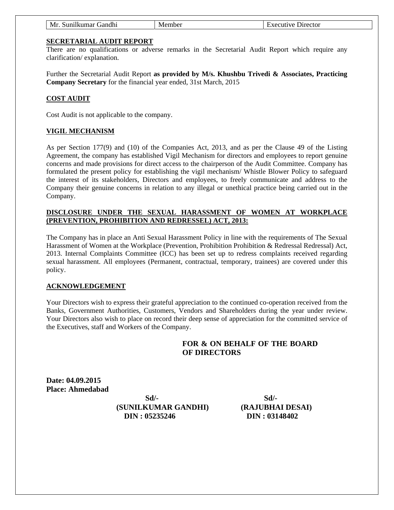| $\cdot$ .<br>Nrr<br>$\alpha$ and $\alpha$<br>mber<br>$\mathbf{a}$ t $\mathbf{a}$<br>----<br><b>NIC</b><br>11 r.e<br>шва<br>по<br>.<br>11 UU 101<br>,,,,<br>,,,,<br>. |  |
|----------------------------------------------------------------------------------------------------------------------------------------------------------------------|--|
|----------------------------------------------------------------------------------------------------------------------------------------------------------------------|--|

#### **SECRETARIAL AUDIT REPORT**

There are no qualifications or adverse remarks in the Secretarial Audit Report which require any clarification/ explanation.

Further the Secretarial Audit Report **as provided by M/s. Khushbu Trivedi & Associates, Practicing Company Secretary** for the financial year ended, 31st March, 2015

#### **COST AUDIT**

Cost Audit is not applicable to the company.

#### **VIGIL MECHANISM**

As per Section 177(9) and (10) of the Companies Act, 2013, and as per the Clause 49 of the Listing Agreement, the company has established Vigil Mechanism for directors and employees to report genuine concerns and made provisions for direct access to the chairperson of the Audit Committee. Company has formulated the present policy for establishing the vigil mechanism/ Whistle Blower Policy to safeguard the interest of its stakeholders, Directors and employees, to freely communicate and address to the Company their genuine concerns in relation to any illegal or unethical practice being carried out in the Company.

#### **DISCLOSURE UNDER THE SEXUAL HARASSMENT OF WOMEN AT WORKPLACE (PREVENTION, PROHIBITION AND REDRESSEL) ACT, 2013:**

The Company has in place an Anti Sexual Harassment Policy in line with the requirements of The Sexual Harassment of Women at the Workplace (Prevention, Prohibition Prohibition & Redressal Redressal) Act, 2013. Internal Complaints Committee (ICC) has been set up to redress complaints received regarding sexual harassment. All employees (Permanent, contractual, temporary, trainees) are covered under this policy.

#### **ACKNOWLEDGEMENT**

Your Directors wish to express their grateful appreciation to the continued co-operation received from the Banks, Government Authorities, Customers, Vendors and Shareholders during the year under review. Your Directors also wish to place on record their deep sense of appreciation for the committed service of the Executives, staff and Workers of the Company.

#### **FOR & ON BEHALF OF THE BOARD OF DIRECTORS**

**Date: 04.09.2015 Place: Ahmedabad** 

 **Sd/- (SUNILKUMAR GANDHI) DIN : 05235246** 

 **Sd/- (RAJUBHAI DESAI) DIN : 03148402**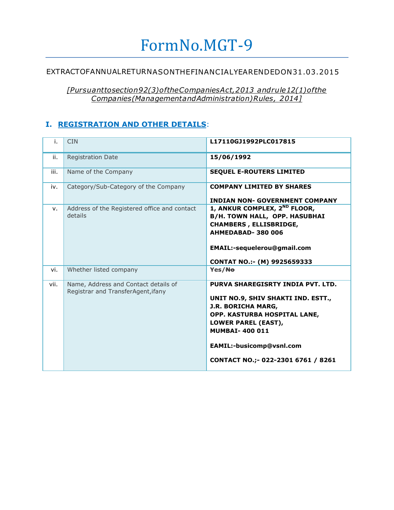# FormNo.MGT-9

# EXTRACTOFANNUALRETURNASONTHEFINANCIALYEARENDEDON31.03.2015

*[Pursuanttosection92(3)oftheCompaniesAct,2013 andrule12(1)ofthe Companies(ManagementandAdministration)Rules, 2014]*

# **I. REGISTRATION AND OTHER DETAILS**:

| i.   | <b>CIN</b>                                                                 | L17110GJ1992PLC017815                                                                                                                                                                                                                                  |
|------|----------------------------------------------------------------------------|--------------------------------------------------------------------------------------------------------------------------------------------------------------------------------------------------------------------------------------------------------|
| ii.  | <b>Registration Date</b>                                                   | 15/06/1992                                                                                                                                                                                                                                             |
| iii. | Name of the Company                                                        | <b>SEQUEL E-ROUTERS LIMITED</b>                                                                                                                                                                                                                        |
| iv.  | Category/Sub-Category of the Company                                       | <b>COMPANY LIMITED BY SHARES</b><br><b>INDIAN NON- GOVERNMENT COMPANY</b>                                                                                                                                                                              |
| v.   | Address of the Registered office and contact<br>details                    | 1, ANKUR COMPLEX, 2 <sup>ND</sup> FLOOR,<br><b>B/H. TOWN HALL, OPP. HASUBHAI</b><br><b>CHAMBERS, ELLISBRIDGE,</b><br>AHMEDABAD-380006<br>EMAIL:-sequelerou@gmail.com<br>CONTAT NO.:- (M) 9925659333                                                    |
| vi.  | Whether listed company                                                     | Yes/No                                                                                                                                                                                                                                                 |
| vii. | Name, Address and Contact details of<br>Registrar and TransferAgent, ifany | PURVA SHAREGISRTY INDIA PVT. LTD.<br>UNIT NO.9, SHIV SHAKTI IND. ESTT.,<br>J.R. BORICHA MARG,<br>OPP. KASTURBA HOSPITAL LANE,<br><b>LOWER PAREL (EAST),</b><br><b>MUMBAI-400011</b><br>EAMIL:-busicomp@vsnl.com<br>CONTACT NO.; - 022-2301 6761 / 8261 |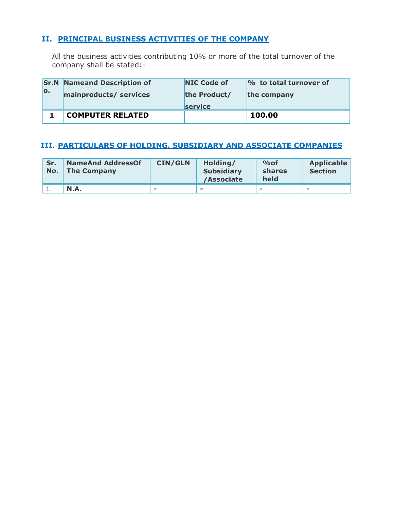# **II. PRINCIPAL BUSINESS ACTIVITIES OF THE COMPANY**

All the business activities contributing 10% or more of the total turnover of the company shall be stated:-

|                           | <b>Sr.N</b> Nameand Description of | <b>NIC Code of</b> | $\%$ to total turnover of |
|---------------------------|------------------------------------|--------------------|---------------------------|
| $\overline{\mathbf{o}}$ . | mainproducts/ services             | the Product/       | the company               |
|                           |                                    | <b>service</b>     |                           |
|                           | <b>COMPUTER RELATED</b>            |                    | 100.00                    |

# **III. PARTICULARS OF HOLDING, SUBSIDIARY AND ASSOCIATE COMPANIES**

| Sr.<br>No. | <b>NameAnd AddressOf</b><br><b>The Company</b> | <b>CIN/GLN</b> | Holding/<br><b>Subsidiary</b><br>/Associate | $\%$ of<br>shares<br>held | <b>Applicable</b><br><b>Section</b> |
|------------|------------------------------------------------|----------------|---------------------------------------------|---------------------------|-------------------------------------|
|            | N.A.                                           | $\equiv$       |                                             | $\equiv$                  | $\sim$                              |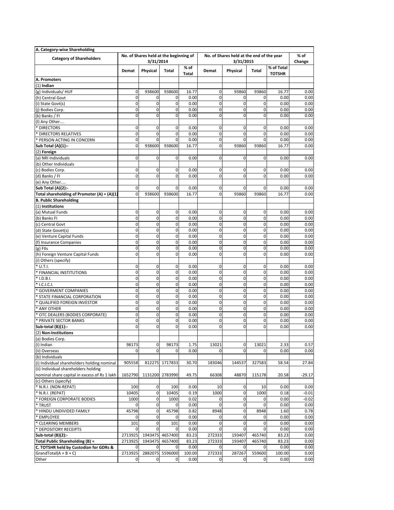| A. Category-wise Shareholding                                       |              |                                                     |                 |                      |             |                                                        |                |                             |                  |  |
|---------------------------------------------------------------------|--------------|-----------------------------------------------------|-----------------|----------------------|-------------|--------------------------------------------------------|----------------|-----------------------------|------------------|--|
| <b>Category of Shareholders</b>                                     |              | No. of Shares held at the beginning of<br>3/31/2014 |                 |                      |             | No. of Shares held at the end of the year<br>3/31/2015 |                |                             | $%$ of<br>Change |  |
|                                                                     | <b>Demat</b> | Physical                                            | Total           | % of<br><b>Total</b> | Demat       | Physical                                               | Total          | % of Total<br><b>TOTSHR</b> |                  |  |
| A. Promoters                                                        |              |                                                     |                 |                      |             |                                                        |                |                             |                  |  |
| $(1)$ Indian                                                        |              |                                                     |                 |                      |             |                                                        |                |                             |                  |  |
| (g) Individuals/HUF                                                 | $\mathbf 0$  | 938600                                              | 938600          | 16.77                | $\mathbf 0$ | 93860                                                  | 93860          | 16.77                       | 0.00             |  |
| (h) Central Govt                                                    | $\mathbf 0$  | 0                                                   | $\mathbf 0$     | 0.00                 | $\mathbf 0$ | $\mathbf 0$                                            | 0              | 0.00                        | 0.00             |  |
| (i) State Govt(s)                                                   | $\mathbf 0$  | $\mathbf 0$                                         | $\mathbf 0$     | 0.00                 | 0           | $\mathbf 0$                                            | 0              | 0.00                        | 0.00             |  |
| (j) Bodies Corp.                                                    | $\pmb{0}$    | $\mathbf 0$                                         | $\mathbf 0$     | 0.00                 | 0           | $\pmb{0}$                                              | 0              | 0.00                        | 0.00             |  |
| (k) Banks / FI                                                      | $\mathbf 0$  | $\mathbf 0$                                         | $\mathbf 0$     | 0.00                 | 0           | $\mathbf 0$                                            | $\overline{0}$ | 0.00                        | 0.00             |  |
| (I) Any Other                                                       |              |                                                     |                 |                      |             |                                                        |                |                             |                  |  |
| * DIRECTORS                                                         | $\mathbf 0$  | 0                                                   | $\mathbf 0$     | 0.00                 | 0           | 0                                                      | 0              | 0.00                        | 0.00             |  |
| * DIRECTORS RELATIVES                                               | $\mathbf 0$  | 0                                                   | $\mathbf 0$     | 0.00                 | 0           | $\mathbf 0$                                            | 0              | 0.00                        | 0.00             |  |
| * PERSON ACTING IN CONCERN                                          | $\mathbf 0$  | $\mathbf 0$                                         | $\mathbf 0$     | 0.00                 | $\mathbf 0$ | $\mathbf 0$                                            | $\mathbf 0$    | 0.00                        | 0.00             |  |
| Sub Total (A)(1):-                                                  | $\mathbf 0$  | 938600                                              | 938600          | 16.77                | 0           | 93860                                                  | 93860          | 16.77                       | 0.00             |  |
| (2) Foreign                                                         | $\mathbf 0$  | $\mathbf 0$                                         | $\mathbf 0$     | 0.00                 | 0           | $\mathbf 0$                                            | $\mathbf 0$    |                             | 0.00             |  |
| (a) NRI Individuals<br>(b) Other Individuals                        |              |                                                     |                 |                      |             |                                                        |                | 0.00                        |                  |  |
|                                                                     | $\mathbf 0$  | $\mathbf 0$                                         | $\mathbf 0$     | 0.00                 | 0           | $\mathbf 0$                                            | 0              | 0.00                        | 0.00             |  |
| (c) Bodies Corp.                                                    | $\mathbf 0$  | $\mathbf 0$                                         | $\mathbf 0$     | 0.00                 | $\mathbf 0$ | $\mathbf 0$                                            | $\overline{0}$ | 0.00                        | 0.00             |  |
| (d) Banks / FI                                                      |              |                                                     |                 |                      |             |                                                        |                |                             |                  |  |
| (e) Any Other                                                       | $\mathbf 0$  | 0                                                   | 0               | 0.00                 | $\mathbf 0$ | $\mathbf 0$                                            | 0              | 0.00                        | 0.00             |  |
| Sub Total (A)(2):-<br>Total shareholding of Promoter $(A) = (A)(1)$ | $\mathbf 0$  | 938600                                              | 938600          | 16.77                | $\mathbf 0$ | 93860                                                  | 93860          | 16.77                       | 0.00             |  |
| <b>B. Public Shareholding</b>                                       |              |                                                     |                 |                      |             |                                                        |                |                             |                  |  |
| (1) Institutions                                                    |              |                                                     |                 |                      |             |                                                        |                |                             |                  |  |
| (a) Mutual Funds                                                    | $\mathbf 0$  | $\mathbf 0$                                         | 0               | 0.00                 | 0           | 0                                                      | 0              | 0.00                        | 0.00             |  |
| (b) Banks FI                                                        | $\mathbf 0$  | $\mathbf 0$                                         | $\mathbf 0$     | 0.00                 | $\mathbf 0$ | $\mathbf 0$                                            | 0              | 0.00                        | 0.00             |  |
| (c) Central Govt                                                    | $\mathbf 0$  | $\mathbf 0$                                         | $\mathbf 0$     | 0.00                 | 0           | $\mathbf 0$                                            | 0              | 0.00                        | 0.00             |  |
| (d) State Govet(s)                                                  | $\mathbf 0$  | $\mathbf 0$                                         | 0               | 0.00                 | $\mathbf 0$ | 0                                                      | $\mathbf 0$    | 0.00                        | 0.00             |  |
| (e) Venture Capital Funds                                           | $\pmb{0}$    | $\mathbf 0$                                         | 0               | 0.00                 | 0           | 0                                                      | 0              | 0.00                        | 0.00             |  |
| (f) Insurance Companies                                             | $\mathbf 0$  | $\mathbf 0$                                         | $\mathbf 0$     | 0.00                 | $\mathbf 0$ | $\overline{\mathbf{0}}$                                | $\mathbf 0$    | 0.00                        | 0.00             |  |
| $(g)$ FIIs                                                          | $\mathbf 0$  | $\mathbf 0$                                         | $\mathbf 0$     | 0.00                 | $\mathbf 0$ | $\mathbf 0$                                            | $\mathbf 0$    | 0.00                        | 0.00             |  |
| (h) Foreign Venture Capital Funds                                   | $\mathbf 0$  | $\mathbf 0$                                         | $\mathbf 0$     | 0.00                 | 0           | $\mathbf 0$                                            | $\Omega$       | 0.00                        | 0.00             |  |
| (i) Others (specify)                                                |              |                                                     |                 |                      |             |                                                        |                |                             |                  |  |
| U.T.I.                                                              | $\mathbf 0$  | $\mathbf 0$                                         | $\mathbf 0$     | 0.00                 | 0           | 0                                                      | 0              | 0.00                        | 0.00             |  |
| <b>FINANCIAL INSTITUTIONS</b>                                       | $\mathbf 0$  | $\mathbf 0$                                         | $\mathbf 0$     | 0.00                 | $\mathbf 0$ | $\mathbf 0$                                            | $\mathbf 0$    | 0.00                        | 0.00             |  |
| * I.D.B.I.                                                          | $\mathbf 0$  | $\mathbf 0$                                         | $\mathbf 0$     | 0.00                 | 0           | $\pmb{0}$                                              | 0              | 0.00                        | 0.00             |  |
| * I.C.I.C.I.                                                        | $\mathbf 0$  | $\mathbf 0$                                         | 0               | 0.00                 | 0           | $\mathbf 0$                                            | 0              | 0.00                        | 0.00             |  |
| <b>GOVERMENT COMPANIES</b>                                          | $\pmb{0}$    | $\mathbf 0$                                         | 0               | 0.00                 | 0           | $\mathbf 0$                                            | $\mathbf 0$    | 0.00                        | 0.00             |  |
| STATE FINANCIAL CORPORATION                                         | $\mathbf 0$  | $\mathbf 0$                                         | $\mathbf 0$     | 0.00                 | 0           | $\mathbf 0$                                            | $\mathbf 0$    | 0.00                        | 0.00             |  |
| <b>QUALIFIED FOREIGN INVESTOR</b>                                   | $\mathbf 0$  | $\mathbf 0$                                         | 0               | 0.00                 | 0           | $\mathbf 0$                                            | 0              | 0.00                        | 0.00             |  |
| * ANY OTHER                                                         | $\mathbf 0$  | $\mathbf 0$                                         | $\mathbf 0$     | 0.00                 | $\mathbf 0$ | $\mathbf 0$                                            | $\mathbf 0$    | 0.00                        | 0.00             |  |
| OTC DEALERS (BODIES CORPORATE)                                      | $\mathbf 0$  | $\mathbf 0$                                         | 0               | 0.00                 | 0           | 0                                                      | 0              | 0.00                        | 0.00             |  |
| PRIVATE SECTOR BANKS                                                | $\mathbf 0$  | $\mathbf 0$                                         | $\mathbf 0$     | 0.00                 | 0           | $\mathbf 0$                                            | $\mathbf 0$    | 0.00                        | 0.00             |  |
| Sub-total (B)(1):-                                                  | $\mathbf 0$  | $\mathbf 0$                                         | $\mathbf 0$     | 0.00                 | 0           | 0                                                      | $\overline{0}$ | 0.00                        | 0.00             |  |
| (2) Non-Institutions                                                |              |                                                     |                 |                      |             |                                                        |                |                             |                  |  |
| (a) Bodies Corp.                                                    |              |                                                     |                 |                      |             |                                                        |                |                             |                  |  |
| (i) Indian                                                          | 98173        | $\mathbf 0$                                         | 98173           | 1.75                 | 13021       | $\mathbf 0$                                            | 13021          | 2.33                        | 0.57             |  |
| (ii) Overseas                                                       | $\mathbf{0}$ | $\overline{0}$                                      | $\mathbf 0$     | 0.00                 | 0           | $\mathbf 0$                                            | 0              | 0.00                        | 0.00             |  |
| (b) Individuals                                                     |              |                                                     |                 |                      |             |                                                        |                |                             |                  |  |
| (i) Individual shareholders holding nominal                         | 905558       | 812275                                              | 1717833         | 30.70                | 183046      | 144537                                                 | 327583         | 58.54                       | 27.84            |  |
| (ii) Individual shareholders holding                                |              |                                                     |                 |                      |             |                                                        |                |                             |                  |  |
| nominal share capital in excess of Rs 1 lakh                        | 1652790      |                                                     | 1131200 2783990 | 49.75                | 66308       | 48870                                                  | 115178         | 20.58                       | $-29.17$         |  |
| (c) Others (specify)                                                |              |                                                     |                 |                      |             |                                                        |                |                             |                  |  |
| * N.R.I. (NON-REPAT)                                                | 100          | $\mathbf 0$                                         | 100             | 0.00                 | 10          | $\mathbf 0$                                            | 10             | 0.00                        | 0.00             |  |
| * N.R.I. (REPAT)                                                    | 10405        | $\overline{0}$                                      | 10405           | 0.19                 | 1000        | $\mathbf 0$                                            | 1000           | 0.18                        | $-0.01$          |  |
| * FOREIGN CORPORATE BODIES                                          | 1000         | $\mathbf 0$                                         | 1000            | 0.02                 | 0           | $\mathbf 0$                                            | 0              | 0.00                        | $-0.02$          |  |
| * TRUST                                                             | 0            | $\overline{0}$                                      | $\mathbf{0}$    | 0.00                 | 0           | $\mathbf 0$                                            | 0              | 0.00                        | 0.00             |  |
| * HINDU UNDIVIDED FAMILY                                            | 45798        | $\mathbf 0$                                         | 45798           | 0.82                 | 8948        | $\pmb{0}$                                              | 8948           | 1.60                        | 0.78             |  |
| <b>EMPLOYEE</b>                                                     | $\mathbf 0$  | $\mathbf 0$                                         | 0               | 0.00                 | 0           | $\pmb{0}$                                              | 0              | 0.00                        | 0.00             |  |
| <b>CLEARING MEMBERS</b>                                             | 101          | $\mathbf 0$                                         | 101             | 0.00                 | $\mathbf 0$ | $\pmb{0}$                                              | 0              | 0.00                        | 0.00             |  |
| * DEPOSITORY RECEIPTS                                               | 0            | $\mathbf 0$                                         | 0               | 0.00                 | 0           | 0                                                      | 0              | 0.00                        | 0.00             |  |
| Sub-total (B)(2):-                                                  | 2713925      | 1943475                                             | 4657400         | 83.23                | 272333      | 193407                                                 | 465740         | 83.23                       | 0.00             |  |
| Total Public Shareholding (B) =                                     | 2713925      | 1943475                                             | 4657400         | 83.23                | 272333      | 193407                                                 | 465740         | 83.23                       | 0.00             |  |
| C. TOTSHR held by Custodian for GDRs &                              | $\mathbf 0$  | $\mathbf{0}$                                        | $\mathbf 0$     | 0.00                 | 0           | $\mathbf{0}$                                           | 0              | 0.00                        | 0.00             |  |
| $GrandTotal(A + B + C)$                                             | 2713925      | 2882075                                             | 5596000         | 100.00               | 272333      | 287267                                                 | 559600         | 100.00                      | 0.00             |  |
| Other                                                               | $\mathbf 0$  | 0                                                   | 0               | 0.00                 | 0           | $\mathbf 0$                                            | 0              | 0.00                        | 0.00             |  |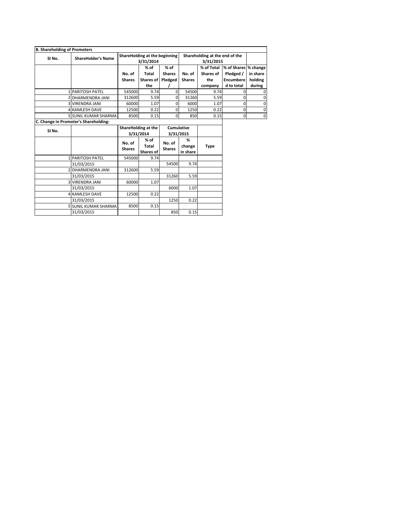| ShareHolding at the beginning<br>Shareholding at the end of the<br>SI No.<br><b>ShareHolder's Name</b><br>3/31/2014<br>3/31/2015<br>% of<br>% of Total<br>$%$ of<br><b>Total</b><br><b>Shares</b><br>No. of<br>Shares of<br>Pledged /<br>No. of<br>Pledged<br><b>Encumbere</b><br><b>Shares</b><br><b>Shares of</b><br><b>Shares</b><br>the<br>d to total<br>the<br>company<br>9.74<br>54500<br><b>1 PARITOSH PATEL</b><br>545000<br>$\Omega$<br>9.74<br>5.59<br>31260<br>312600<br>5.59<br>2 DHARMENDRA JANI<br>0<br>60000<br>1.07<br>6000<br>1.07<br><b>3 VIRENDRA JANI</b><br>0<br><b>4 KAMLESH DAVE</b><br>12500<br>0.22<br>0<br>1250<br>0.22<br>8500<br>0.15<br>$\Omega$<br>850<br>0.15<br><b>5 SUNIL KUMAR SHARMA</b><br>ShareHolding at the<br><b>Cumulative</b><br>SI No.<br>3/31/2014<br>3/31/2015<br>$%$ of<br>%<br>No. of<br>No. of<br>Total<br>change<br><b>Type</b> | $\mathbf 0$<br>0<br>0<br>0<br>$\mathbf 0$ | % of Shares % change<br>in share<br>holding<br>during<br>$\mathbf 0$<br>$\mathbf 0$<br>$\mathbf 0$<br>$\mathbf 0$<br>$\Omega$ |
|----------------------------------------------------------------------------------------------------------------------------------------------------------------------------------------------------------------------------------------------------------------------------------------------------------------------------------------------------------------------------------------------------------------------------------------------------------------------------------------------------------------------------------------------------------------------------------------------------------------------------------------------------------------------------------------------------------------------------------------------------------------------------------------------------------------------------------------------------------------------------------|-------------------------------------------|-------------------------------------------------------------------------------------------------------------------------------|
| C. Change in Promoter's Shareholding:                                                                                                                                                                                                                                                                                                                                                                                                                                                                                                                                                                                                                                                                                                                                                                                                                                            |                                           |                                                                                                                               |
|                                                                                                                                                                                                                                                                                                                                                                                                                                                                                                                                                                                                                                                                                                                                                                                                                                                                                  |                                           |                                                                                                                               |
|                                                                                                                                                                                                                                                                                                                                                                                                                                                                                                                                                                                                                                                                                                                                                                                                                                                                                  |                                           |                                                                                                                               |
|                                                                                                                                                                                                                                                                                                                                                                                                                                                                                                                                                                                                                                                                                                                                                                                                                                                                                  |                                           |                                                                                                                               |
|                                                                                                                                                                                                                                                                                                                                                                                                                                                                                                                                                                                                                                                                                                                                                                                                                                                                                  |                                           |                                                                                                                               |
|                                                                                                                                                                                                                                                                                                                                                                                                                                                                                                                                                                                                                                                                                                                                                                                                                                                                                  |                                           |                                                                                                                               |
|                                                                                                                                                                                                                                                                                                                                                                                                                                                                                                                                                                                                                                                                                                                                                                                                                                                                                  |                                           |                                                                                                                               |
|                                                                                                                                                                                                                                                                                                                                                                                                                                                                                                                                                                                                                                                                                                                                                                                                                                                                                  |                                           |                                                                                                                               |
|                                                                                                                                                                                                                                                                                                                                                                                                                                                                                                                                                                                                                                                                                                                                                                                                                                                                                  |                                           |                                                                                                                               |
|                                                                                                                                                                                                                                                                                                                                                                                                                                                                                                                                                                                                                                                                                                                                                                                                                                                                                  |                                           |                                                                                                                               |
|                                                                                                                                                                                                                                                                                                                                                                                                                                                                                                                                                                                                                                                                                                                                                                                                                                                                                  |                                           |                                                                                                                               |
|                                                                                                                                                                                                                                                                                                                                                                                                                                                                                                                                                                                                                                                                                                                                                                                                                                                                                  |                                           |                                                                                                                               |
|                                                                                                                                                                                                                                                                                                                                                                                                                                                                                                                                                                                                                                                                                                                                                                                                                                                                                  |                                           |                                                                                                                               |
|                                                                                                                                                                                                                                                                                                                                                                                                                                                                                                                                                                                                                                                                                                                                                                                                                                                                                  |                                           |                                                                                                                               |
|                                                                                                                                                                                                                                                                                                                                                                                                                                                                                                                                                                                                                                                                                                                                                                                                                                                                                  |                                           |                                                                                                                               |
|                                                                                                                                                                                                                                                                                                                                                                                                                                                                                                                                                                                                                                                                                                                                                                                                                                                                                  |                                           |                                                                                                                               |
| <b>Shares</b><br><b>Shares</b><br>in share<br><b>Shares of</b>                                                                                                                                                                                                                                                                                                                                                                                                                                                                                                                                                                                                                                                                                                                                                                                                                   |                                           |                                                                                                                               |
| 545000<br>9.74<br><b>1 PARITOSH PATEL</b>                                                                                                                                                                                                                                                                                                                                                                                                                                                                                                                                                                                                                                                                                                                                                                                                                                        |                                           |                                                                                                                               |
| 54500<br>9.74<br>31/03/2015                                                                                                                                                                                                                                                                                                                                                                                                                                                                                                                                                                                                                                                                                                                                                                                                                                                      |                                           |                                                                                                                               |
| 312600<br>5.59<br>2 DHARMENDRA JANI                                                                                                                                                                                                                                                                                                                                                                                                                                                                                                                                                                                                                                                                                                                                                                                                                                              |                                           |                                                                                                                               |
| 31260<br>5.59<br>31/03/2015                                                                                                                                                                                                                                                                                                                                                                                                                                                                                                                                                                                                                                                                                                                                                                                                                                                      |                                           |                                                                                                                               |
| 60000<br>1.07<br><b>3 VIRENDRA JANI</b>                                                                                                                                                                                                                                                                                                                                                                                                                                                                                                                                                                                                                                                                                                                                                                                                                                          |                                           |                                                                                                                               |
| 6000<br>1.07<br>31/03/2015                                                                                                                                                                                                                                                                                                                                                                                                                                                                                                                                                                                                                                                                                                                                                                                                                                                       |                                           |                                                                                                                               |
| 12500<br>0.22<br><b>4 KAMLESH DAVE</b>                                                                                                                                                                                                                                                                                                                                                                                                                                                                                                                                                                                                                                                                                                                                                                                                                                           |                                           |                                                                                                                               |
| 1250<br>0.22<br>31/03/2015                                                                                                                                                                                                                                                                                                                                                                                                                                                                                                                                                                                                                                                                                                                                                                                                                                                       |                                           |                                                                                                                               |
| <b>5 SUNIL KUMAR SHARMA</b><br>8500<br>0.15                                                                                                                                                                                                                                                                                                                                                                                                                                                                                                                                                                                                                                                                                                                                                                                                                                      |                                           |                                                                                                                               |
|                                                                                                                                                                                                                                                                                                                                                                                                                                                                                                                                                                                                                                                                                                                                                                                                                                                                                  |                                           |                                                                                                                               |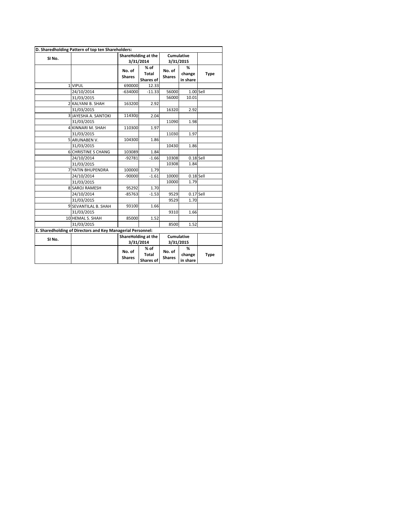|                   |                                                             |                         | ShareHolding at the        | Cumulative              |                         |             |
|-------------------|-------------------------------------------------------------|-------------------------|----------------------------|-------------------------|-------------------------|-------------|
| SI No.            |                                                             |                         | 3/31/2014                  |                         | 3/31/2015               |             |
|                   |                                                             | No. of<br><b>Shares</b> | % of<br>Total<br>Shares of | No. of<br><b>Shares</b> | %<br>change<br>in share | <b>Type</b> |
|                   | 1 VIPUL                                                     | 690000                  | 12.33                      |                         |                         |             |
|                   | 24/10/2014                                                  | $-634000$               | $-11.33$                   | 56000                   | 1.00 Sell               |             |
|                   | 31/03/2015                                                  |                         |                            | 56000                   | 10.01                   |             |
|                   | 2 KALYANI B. SHAH                                           | 163200                  | 2.92                       |                         |                         |             |
|                   | 31/03/2015                                                  |                         |                            | 16320                   | 2.92                    |             |
|                   | 3 JAYESHA A. SANTOKI                                        | 114300                  | 2.04                       |                         |                         |             |
|                   | 31/03/2015                                                  |                         |                            | 11090                   | 1.98                    |             |
|                   | 4 KINNARI M. SHAH                                           | 110300                  | 1.97                       |                         |                         |             |
|                   | 31/03/2015                                                  |                         |                            | 11030                   | 1.97                    |             |
|                   | 5 ARUNABEN V.                                               | 104300                  | 1.86                       |                         |                         |             |
|                   | 31/03/2015                                                  |                         |                            | 10430                   | 1.86                    |             |
|                   | <b>6 CHRISTINE S CHANG</b>                                  | 103089                  | 1.84                       |                         |                         |             |
|                   | 24/10/2014                                                  | $-92781$                | $-1.66$                    | 10308                   | $0.18$ Sell             |             |
|                   | 31/03/2015                                                  |                         |                            | 10308                   | 1.84                    |             |
|                   | 7 YATIN BHUPENDRA                                           | 100000                  | 1.79                       |                         |                         |             |
|                   | 24/10/2014                                                  | $-90000$                | $-1.61$                    | 10000                   | $0.18$ Sell             |             |
|                   | 31/03/2015                                                  |                         |                            | 10000                   | 1.79                    |             |
|                   | <b>8 SAROJ RAMESH</b>                                       | 95292                   | 1.70                       |                         |                         |             |
|                   | 24/10/2014                                                  | $-85763$                | $-1.53$                    | 9529                    | $0.17$ Sell             |             |
|                   | 31/03/2015                                                  |                         |                            | 9529                    | 1.70                    |             |
|                   | 9 SEVANTILAL B. SHAH                                        | 93100                   | 1.66                       |                         |                         |             |
|                   | 31/03/2015                                                  |                         |                            | 9310                    | 1.66                    |             |
|                   | 10 HEMAL S. SHAH                                            | 85000                   | 1.52                       |                         |                         |             |
|                   | 31/03/2015                                                  |                         |                            | 8500                    | 1.52                    |             |
|                   | E. Sharedholding of Directors and Key Managerial Personnel: |                         |                            |                         |                         |             |
| SI <sub>No.</sub> |                                                             |                         | ShareHolding at the        | Cumulative              |                         |             |
|                   |                                                             |                         | 3/31/2014                  |                         | 3/31/2015               |             |
|                   |                                                             | No. of<br><b>Shares</b> | % of<br>Total<br>Shares of | No. of<br><b>Shares</b> | %<br>change<br>in share | <b>Type</b> |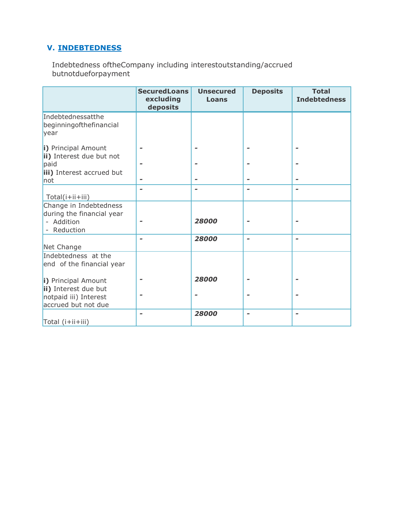# **V. INDEBTEDNESS**

Indebtedness oftheCompany including interestoutstanding/accrued butnotdueforpayment

|                                                                                             | <b>SecuredLoans</b><br>excluding<br>deposits | <b>Unsecured</b><br><b>Loans</b> | <b>Deposits</b> | <b>Total</b><br><b>Indebtedness</b> |
|---------------------------------------------------------------------------------------------|----------------------------------------------|----------------------------------|-----------------|-------------------------------------|
| Indebtednessatthe<br>beginning of the financial<br>year                                     |                                              |                                  |                 |                                     |
| i) Principal Amount<br>ii) Interest due but not<br>paid                                     |                                              |                                  |                 |                                     |
| iii) Interest accrued but<br>not                                                            |                                              |                                  |                 |                                     |
| Total(i+ii+iii)                                                                             |                                              |                                  |                 |                                     |
| Change in Indebtedness<br>during the financial year<br>- Addition<br>- Reduction            |                                              | 28000                            |                 |                                     |
| Net Change                                                                                  |                                              | 28000                            |                 | -                                   |
| Indebtedness at the<br>end of the financial year                                            |                                              |                                  |                 |                                     |
| i) Principal Amount<br>ii) Interest due but<br>notpaid iii) Interest<br>accrued but not due |                                              | 28000                            |                 |                                     |
| Total (i+ii+iii)                                                                            |                                              | 28000                            |                 |                                     |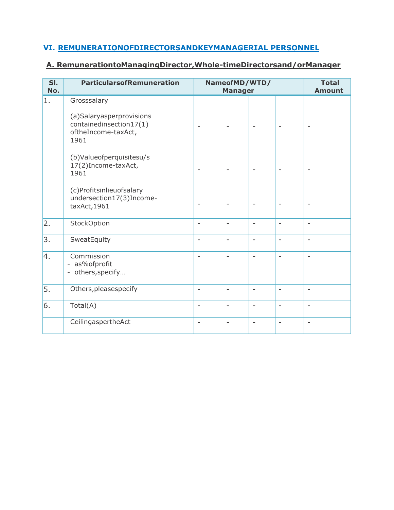# **VI. REMUNERATIONOFDIRECTORSANDKEYMANAGERIAL PERSONNEL**

# **A. RemunerationtoManagingDirector,Whole-timeDirectorsand/orManager**

| SI.<br>No.       | <b>ParticularsofRemuneration</b>                                                   |                          | NameofMD/WTD/<br><b>Manager</b> |                          |                          | <b>Total</b><br><b>Amount</b> |
|------------------|------------------------------------------------------------------------------------|--------------------------|---------------------------------|--------------------------|--------------------------|-------------------------------|
| 1.               | Grosssalary                                                                        |                          |                                 |                          |                          |                               |
|                  | (a)Salaryasperprovisions<br>containedinsection17(1)<br>oftheIncome-taxAct,<br>1961 |                          |                                 |                          | ۰                        |                               |
|                  | (b)Valueofperquisitesu/s<br>17(2) Income-taxAct,<br>1961                           |                          |                                 |                          |                          |                               |
|                  | (c)Profitsinlieuofsalary<br>undersection17(3)Income-<br>taxAct, 1961               |                          | $\qquad \qquad \blacksquare$    | $\overline{a}$           | $\overline{\phantom{m}}$ | ۰                             |
| $\overline{2}$ . | StockOption                                                                        | L.                       | $\overline{\phantom{0}}$        | $\overline{\phantom{0}}$ | $\overline{a}$           | $\overline{\phantom{a}}$      |
| 3.               | SweatEquity                                                                        | $\overline{a}$           | $\qquad \qquad -$               | $\overline{\phantom{a}}$ | $\overline{\phantom{a}}$ | $\overline{\phantom{a}}$      |
| 4.               | Commission<br>- as%ofprofit<br>- others, specify                                   |                          | L.                              | L,                       | L,                       | $\overline{\phantom{a}}$      |
| 5.               | Others, pleasespecify                                                              | $\overline{a}$           | $\overline{a}$                  | $\overline{\phantom{0}}$ | ÷,                       | $\overline{a}$                |
| 6.               | Total(A)                                                                           | $\overline{\phantom{a}}$ | $\overline{\phantom{0}}$        | $\overline{\phantom{a}}$ | $\overline{\phantom{a}}$ | $\overline{\phantom{a}}$      |
|                  | CeilingaspertheAct                                                                 | $\overline{\phantom{0}}$ | $\overline{a}$                  | $\qquad \qquad -$        | $\overline{\phantom{m}}$ | $\overline{\phantom{a}}$      |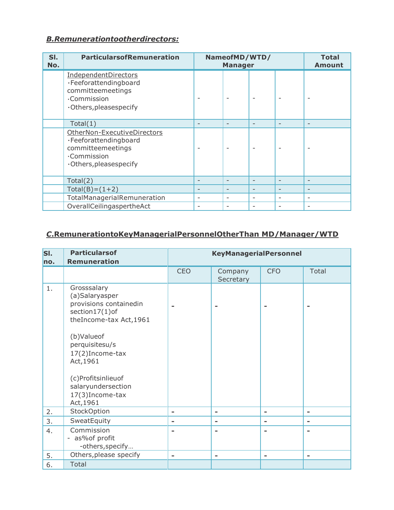# *B.Remunerationtootherdirectors:*

| SI.<br>No. | <b>ParticularsofRemuneration</b>                                                                                   | NameofMD/WTD/<br><b>Manager</b> |                          |                          |   | <b>Total</b><br><b>Amount</b> |
|------------|--------------------------------------------------------------------------------------------------------------------|---------------------------------|--------------------------|--------------------------|---|-------------------------------|
|            | IndependentDirectors<br>·Feeforattendingboard<br>committeemeetings<br>.Commission<br>.Others, pleasespecify        |                                 |                          |                          |   |                               |
|            | Total(1)                                                                                                           |                                 |                          |                          | ۳ | $\qquad \qquad -$             |
|            | OtherNon-ExecutiveDirectors<br>·Feeforattendingboard<br>committeemeetings<br>.Commission<br>.Others, pleasespecify |                                 |                          |                          |   |                               |
|            | Total(2)                                                                                                           |                                 | $\overline{\phantom{0}}$ | $\overline{\phantom{0}}$ | ۳ | $\overline{\phantom{0}}$      |
|            | $Total(B) = (1 + 2)$                                                                                               |                                 | $\overline{\phantom{0}}$ | $\overline{\phantom{0}}$ | ۳ | $\qquad \qquad$               |
|            | TotalManagerialRemuneration                                                                                        |                                 | $\overline{\phantom{0}}$ |                          | ۰ | $\overline{\phantom{a}}$      |
|            | OverallCeilingaspertheAct                                                                                          |                                 |                          |                          | ۰ | $\overline{\phantom{0}}$      |

# *C***.RemunerationtoKeyManagerialPersonnelOtherThan MD/Manager/WTD**

| SI. | <b>Particularsof</b>                                                                                 |                          | <b>KeyManagerialPersonnel</b> |            |                          |
|-----|------------------------------------------------------------------------------------------------------|--------------------------|-------------------------------|------------|--------------------------|
| no. | <b>Remuneration</b>                                                                                  |                          |                               |            |                          |
|     |                                                                                                      | <b>CEO</b>               | Company<br>Secretary          | <b>CFO</b> | <b>Total</b>             |
| 1.  | Grosssalary<br>(a)Salaryasper<br>provisions containedin<br>section17(1)of<br>theIncome-tax Act, 1961 |                          |                               |            |                          |
|     | (b)Valueof<br>perquisitesu/s<br>17(2)Income-tax<br>Act, 1961                                         |                          |                               |            |                          |
|     | (c)Profitsinlieuof<br>salaryundersection<br>17(3)Income-tax<br>Act, 1961                             |                          |                               |            |                          |
| 2.  | StockOption                                                                                          |                          | -                             | ۰          | $\blacksquare$           |
| 3.  | SweatEquity                                                                                          |                          | $\equiv$                      | -          | $\blacksquare$           |
| 4.  | Commission<br>- as% of profit<br>-others, specify                                                    |                          |                               |            |                          |
| 5.  | Others, please specify                                                                               | $\overline{\phantom{a}}$ | $\overline{\phantom{a}}$      | -          | $\overline{\phantom{a}}$ |
| 6.  | Total                                                                                                |                          |                               |            |                          |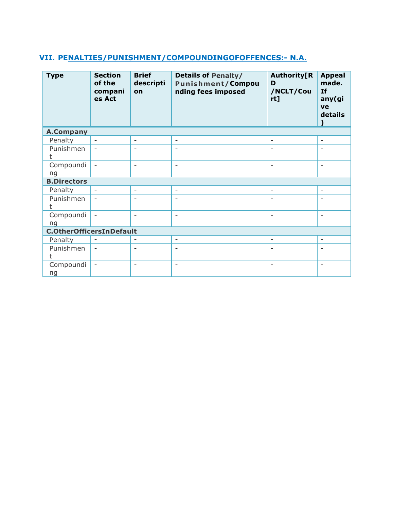# **VII. PENALTIES/PUNISHMENT/COMPOUNDINGOFOFFENCES:- N.A.**

| <b>Type</b>                     | <b>Section</b><br>of the<br>compani<br>es Act | <b>Brief</b><br>descripti<br>on | <b>Details of Penalty/</b><br><b>Punishment/Compou</b><br>nding fees imposed | <b>Authority[R</b><br>D<br>/NCLT/Cou<br>rt] | <b>Appeal</b><br>made.<br><b>If</b><br>any(gi<br>ve<br>details |
|---------------------------------|-----------------------------------------------|---------------------------------|------------------------------------------------------------------------------|---------------------------------------------|----------------------------------------------------------------|
| <b>A.Company</b>                |                                               |                                 |                                                                              |                                             |                                                                |
| Penalty                         | $\overline{\phantom{a}}$                      | ۰                               | $\blacksquare$                                                               | $\overline{\phantom{0}}$                    | $\overline{\phantom{a}}$                                       |
| Punishmen<br>t                  | $\overline{\phantom{a}}$                      | ۰                               | $\overline{\phantom{a}}$                                                     |                                             |                                                                |
| Compoundi<br>ng                 | $\blacksquare$                                | $\overline{a}$                  | $\overline{\phantom{a}}$                                                     | Ē,                                          | $\overline{\phantom{a}}$                                       |
| <b>B.Directors</b>              |                                               |                                 |                                                                              |                                             |                                                                |
| Penalty                         | $\blacksquare$                                | $\overline{\phantom{a}}$        | $\overline{\phantom{a}}$                                                     | $\overline{\phantom{a}}$                    | $\overline{\phantom{a}}$                                       |
| Punishmen<br>t                  | $\qquad \qquad \blacksquare$                  | L.                              | $\qquad \qquad \blacksquare$                                                 |                                             |                                                                |
| Compoundi<br>ng                 | $\overline{\phantom{a}}$                      | ۰                               | $\overline{\phantom{a}}$                                                     | L.                                          | $\overline{\phantom{a}}$                                       |
| <b>C.OtherOfficersInDefault</b> |                                               |                                 |                                                                              |                                             |                                                                |
| Penalty                         | $\blacksquare$                                |                                 | $\overline{\phantom{a}}$                                                     | $\overline{\phantom{a}}$                    | $\overline{\phantom{a}}$                                       |
| Punishmen                       | $\overline{\phantom{a}}$                      | ۰                               | $\qquad \qquad \blacksquare$                                                 |                                             |                                                                |
| Compoundi<br>ng                 | $\overline{\phantom{0}}$                      | ۰                               | $\overline{\phantom{a}}$                                                     | ۰                                           | $\overline{\phantom{a}}$                                       |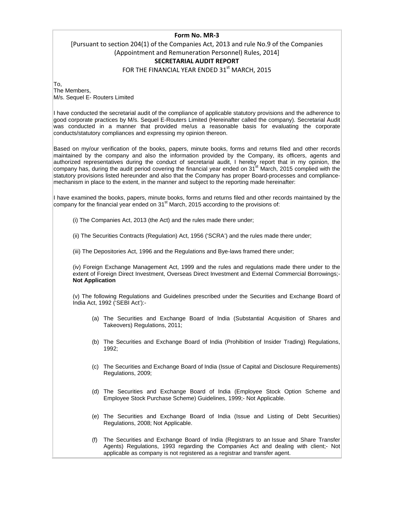#### **Form No. MR‐3**

# [Pursuant to section 204(1) of the Companies Act, 2013 and rule No.9 of the Companies (Appointment and Remuneration Personnel) Rules, 2014] **SECRETARIAL AUDIT REPORT**

FOR THE FINANCIAL YEAR ENDED 31<sup>st</sup> MARCH, 2015

To,

The Members, M/s. Sequel E- Routers Limited

I have conducted the secretarial audit of the compliance of applicable statutory provisions and the adherence to good corporate practices by M/s. Sequel E-Routers Limited (Hereinafter called the company). Secretarial Audit was conducted in a manner that provided me/us a reasonable basis for evaluating the corporate conducts/statutory compliances and expressing my opinion thereon.

Based on my/our verification of the books, papers, minute books, forms and returns filed and other records maintained by the company and also the information provided by the Company, its officers, agents and authorized representatives during the conduct of secretarial audit, I hereby report that in my opinion, the company has, during the audit period covering the financial year ended on 31<sup>st</sup> March, 2015 complied with the statutory provisions listed hereunder and also that the Company has proper Board-processes and compliancemechanism in place to the extent, in the manner and subject to the reporting made hereinafter:

I have examined the books, papers, minute books, forms and returns filed and other records maintained by the company for the financial year ended on  $31<sup>st</sup>$  March, 2015 according to the provisions of:

(i) The Companies Act, 2013 (the Act) and the rules made there under;

(ii) The Securities Contracts (Regulation) Act, 1956 ('SCRA') and the rules made there under;

(iii) The Depositories Act, 1996 and the Regulations and Bye-laws framed there under;

(iv) Foreign Exchange Management Act, 1999 and the rules and regulations made there under to the extent of Foreign Direct Investment, Overseas Direct Investment and External Commercial Borrowings;- **Not Application** 

(v) The following Regulations and Guidelines prescribed under the Securities and Exchange Board of India Act, 1992 ('SEBI Act'):-

- (a) The Securities and Exchange Board of India (Substantial Acquisition of Shares and Takeovers) Regulations, 2011;
- (b) The Securities and Exchange Board of India (Prohibition of Insider Trading) Regulations, 1992;
- (c) The Securities and Exchange Board of India (Issue of Capital and Disclosure Requirements) Regulations, 2009;
- (d) The Securities and Exchange Board of India (Employee Stock Option Scheme and Employee Stock Purchase Scheme) Guidelines, 1999;- Not Applicable.
- (e) The Securities and Exchange Board of India (Issue and Listing of Debt Securities) Regulations, 2008; Not Applicable.
- (f) The Securities and Exchange Board of India (Registrars to an Issue and Share Transfer Agents) Regulations, 1993 regarding the Companies Act and dealing with client;- Not applicable as company is not registered as a registrar and transfer agent.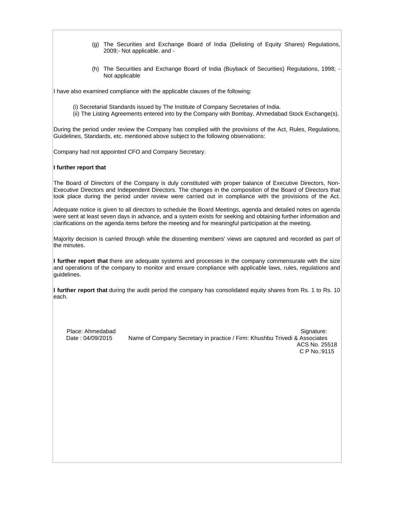- (g) The Securities and Exchange Board of India (Delisting of Equity Shares) Regulations, 2009;- Not applicable. and -
- (h) The Securities and Exchange Board of India (Buyback of Securities) Regulations, 1998; Not applicable

I have also examined compliance with the applicable clauses of the following:

- (i) Secretarial Standards issued by The Institute of Company Secretaries of India.
- (ii) The Listing Agreements entered into by the Company with Bombay, Ahmedabad Stock Exchange(s).

During the period under review the Company has complied with the provisions of the Act, Rules, Regulations, Guidelines, Standards, etc. mentioned above subject to the following observations:

Company had not appointed CFO and Company Secretary.

#### **I further report that**

The Board of Directors of the Company is duly constituted with proper balance of Executive Directors, Non-Executive Directors and Independent Directors. The changes in the composition of the Board of Directors that took place during the period under review were carried out in compliance with the provisions of the Act.

Adequate notice is given to all directors to schedule the Board Meetings, agenda and detailed notes on agenda were sent at least seven days in advance, and a system exists for seeking and obtaining further information and clarifications on the agenda items before the meeting and for meaningful participation at the meeting.

Majority decision is carried through while the dissenting members' views are captured and recorded as part of the minutes.

**I further report that** there are adequate systems and processes in the company commensurate with the size and operations of the company to monitor and ensure compliance with applicable laws, rules, regulations and guidelines.

**I further report that** during the audit period the company has consolidated equity shares from Rs. 1 to Rs. 10 each.

Place: Ahmedabad Signature: Signature: Signature: Signature: Signature: Signature: Signature: Signature: Signature: Signature: Signature: Signature: Signature: Signature: Signature: Signature: Signature: Signature: Signatu Date : 04/09/2015 Name of Company Secretary in practice / Firm: Khushbu Trivedi & Associates ACS No. 25518 C P No.:9115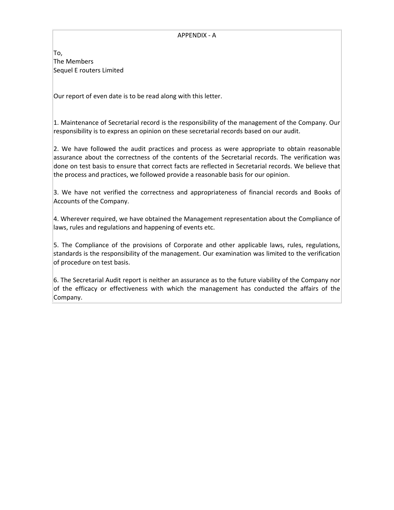#### APPENDIX ‐ A

To, The Members Sequel E routers Limited

Our report of even date is to be read along with this letter.

1. Maintenance of Secretarial record is the responsibility of the management of the Company. Our responsibility is to express an opinion on these secretarial records based on our audit.

2. We have followed the audit practices and process as were appropriate to obtain reasonable assurance about the correctness of the contents of the Secretarial records. The verification was done on test basis to ensure that correct facts are reflected in Secretarial records. We believe that the process and practices, we followed provide a reasonable basis for our opinion.

3. We have not verified the correctness and appropriateness of financial records and Books of Accounts of the Company.

4. Wherever required, we have obtained the Management representation about the Compliance of laws, rules and regulations and happening of events etc.

5. The Compliance of the provisions of Corporate and other applicable laws, rules, regulations, standards is the responsibility of the management. Our examination was limited to the verification of procedure on test basis.

6. The Secretarial Audit report is neither an assurance as to the future viability of the Company nor of the efficacy or effectiveness with which the management has conducted the affairs of the Company.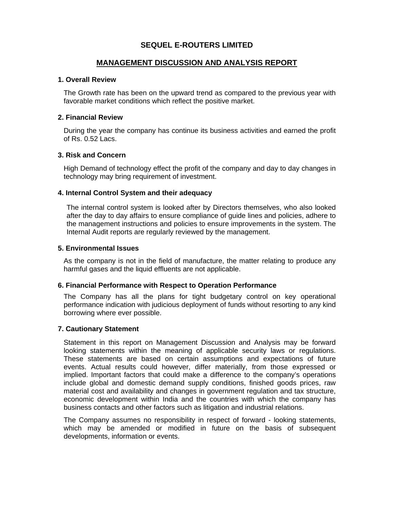# **SEQUEL E-ROUTERS LIMITED**

## **MANAGEMENT DISCUSSION AND ANALYSIS REPORT**

#### **1. Overall Review**

The Growth rate has been on the upward trend as compared to the previous year with favorable market conditions which reflect the positive market.

#### **2. Financial Review**

During the year the company has continue its business activities and earned the profit of Rs. 0.52 Lacs.

#### **3. Risk and Concern**

High Demand of technology effect the profit of the company and day to day changes in technology may bring requirement of investment.

#### **4. Internal Control System and their adequacy**

The internal control system is looked after by Directors themselves, who also looked after the day to day affairs to ensure compliance of guide lines and policies, adhere to the management instructions and policies to ensure improvements in the system. The Internal Audit reports are regularly reviewed by the management.

#### **5. Environmental Issues**

As the company is not in the field of manufacture, the matter relating to produce any harmful gases and the liquid effluents are not applicable.

#### **6. Financial Performance with Respect to Operation Performance**

The Company has all the plans for tight budgetary control on key operational performance indication with judicious deployment of funds without resorting to any kind borrowing where ever possible.

#### **7. Cautionary Statement**

Statement in this report on Management Discussion and Analysis may be forward looking statements within the meaning of applicable security laws or regulations. These statements are based on certain assumptions and expectations of future events. Actual results could however, differ materially, from those expressed or implied. Important factors that could make a difference to the company's operations include global and domestic demand supply conditions, finished goods prices, raw material cost and availability and changes in government regulation and tax structure, economic development within India and the countries with which the company has business contacts and other factors such as litigation and industrial relations.

The Company assumes no responsibility in respect of forward - looking statements, which may be amended or modified in future on the basis of subsequent developments, information or events.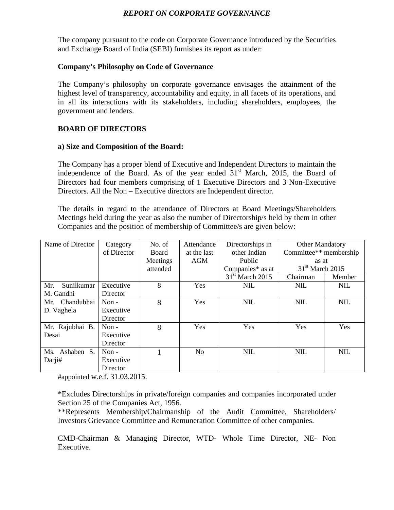# *REPORT ON CORPORATE GOVERNANCE*

The company pursuant to the code on Corporate Governance introduced by the Securities and Exchange Board of India (SEBI) furnishes its report as under:

#### **Company's Philosophy on Code of Governance**

The Company's philosophy on corporate governance envisages the attainment of the highest level of transparency, accountability and equity, in all facets of its operations, and in all its interactions with its stakeholders, including shareholders, employees, the government and lenders.

## **BOARD OF DIRECTORS**

#### **a) Size and Composition of the Board:**

The Company has a proper blend of Executive and Independent Directors to maintain the independence of the Board. As of the year ended  $31<sup>st</sup>$  March, 2015, the Board of Directors had four members comprising of 1 Executive Directors and 3 Non-Executive Directors. All the Non – Executive directors are Independent director.

The details in regard to the attendance of Directors at Board Meetings/Shareholders Meetings held during the year as also the number of Directorship/s held by them in other Companies and the position of membership of Committee/s are given below:

| Name of Director  | Category    | No. of       | Attendance     | Directorships in  | <b>Other Mandatory</b> |            |
|-------------------|-------------|--------------|----------------|-------------------|------------------------|------------|
|                   | of Director | <b>Board</b> | at the last    | other Indian      | Committee** membership |            |
|                   |             | Meetings     | AGM            | Public            | as at                  |            |
|                   |             | attended     |                | Companies* as at  | $31st$ March 2015      |            |
|                   |             |              |                | $31st$ March 2015 | Chairman               | Member     |
| Sunilkumar<br>Mr. | Executive   | 8            | <b>Yes</b>     | <b>NIL</b>        | <b>NIL</b>             | <b>NIL</b> |
| M. Gandhi         | Director    |              |                |                   |                        |            |
| Mr. Chandubhai    | Non-        | 8            | Yes            | <b>NIL</b>        | <b>NIL</b>             | <b>NIL</b> |
| D. Vaghela        | Executive   |              |                |                   |                        |            |
|                   | Director    |              |                |                   |                        |            |
| Mr. Rajubhai B.   | Non $-$     | 8            | Yes            | Yes               | Yes                    | Yes        |
| Desai             | Executive   |              |                |                   |                        |            |
|                   | Director    |              |                |                   |                        |            |
| Ashaben S.<br>Ms. | Non $-$     |              | N <sub>0</sub> | <b>NIL</b>        | <b>NIL</b>             | <b>NIL</b> |
| Darji#            | Executive   |              |                |                   |                        |            |
|                   | Director    |              |                |                   |                        |            |

#appointed w.e.f. 31.03.2015.

\*Excludes Directorships in private/foreign companies and companies incorporated under Section 25 of the Companies Act, 1956.

\*\*Represents Membership/Chairmanship of the Audit Committee, Shareholders/ Investors Grievance Committee and Remuneration Committee of other companies.

CMD-Chairman & Managing Director, WTD- Whole Time Director, NE- Non Executive.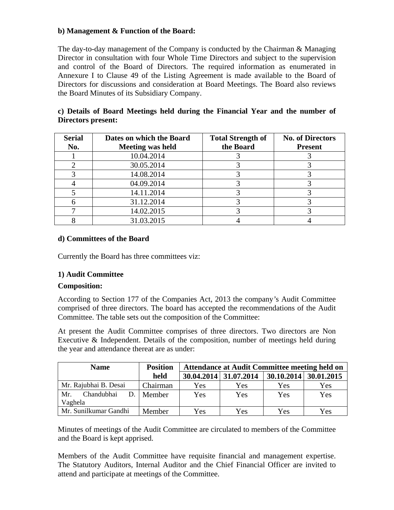# **b) Management & Function of the Board:**

The day-to-day management of the Company is conducted by the Chairman & Managing Director in consultation with four Whole Time Directors and subject to the supervision and control of the Board of Directors. The required information as enumerated in Annexure I to Clause 49 of the Listing Agreement is made available to the Board of Directors for discussions and consideration at Board Meetings. The Board also reviews the Board Minutes of its Subsidiary Company.

| c) Details of Board Meetings held during the Financial Year and the number of |  |  |  |  |  |  |
|-------------------------------------------------------------------------------|--|--|--|--|--|--|
| Directors present:                                                            |  |  |  |  |  |  |

| <b>Serial</b> | Dates on which the Board | <b>Total Strength of</b> | <b>No. of Directors</b> |
|---------------|--------------------------|--------------------------|-------------------------|
| No.           | <b>Meeting was held</b>  | the Board                | <b>Present</b>          |
|               | 10.04.2014               |                          |                         |
|               | 30.05.2014               |                          |                         |
|               | 14.08.2014               |                          |                         |
|               | 04.09.2014               |                          |                         |
|               | 14.11.2014               |                          |                         |
|               | 31.12.2014               |                          |                         |
|               | 14.02.2015               |                          |                         |
|               | 31.03.2015               |                          |                         |

# **d) Committees of the Board**

Currently the Board has three committees viz:

# **1) Audit Committee**

# **Composition:**

According to Section 177 of the Companies Act, 2013 the company*'*s Audit Committee comprised of three directors. The board has accepted the recommendations of the Audit Committee. The table sets out the composition of the Committee:

At present the Audit Committee comprises of three directors. Two directors are Non Executive & Independent. Details of the composition, number of meetings held during the year and attendance thereat are as under:

| <b>Name</b>           | <b>Position</b> |     | <b>Attendance at Audit Committee meeting held on</b> |                         |     |
|-----------------------|-----------------|-----|------------------------------------------------------|-------------------------|-----|
|                       | held            |     | 30.04.2014 31.07.2014                                | $30.10.2014$ 30.01.2015 |     |
| Mr. Rajubhai B. Desai | Chairman        | Yes | Yes                                                  | Yes                     | Yes |
| Mr.<br>Chandubhai     | D.   Member     | Yes | Yes                                                  | Yes                     | Yes |
| Vaghela               |                 |     |                                                      |                         |     |
| Mr. Sunilkumar Gandhi | Member          | Yes | Yes                                                  | Yes                     | Yes |

Minutes of meetings of the Audit Committee are circulated to members of the Committee and the Board is kept apprised.

Members of the Audit Committee have requisite financial and management expertise. The Statutory Auditors, Internal Auditor and the Chief Financial Officer are invited to attend and participate at meetings of the Committee.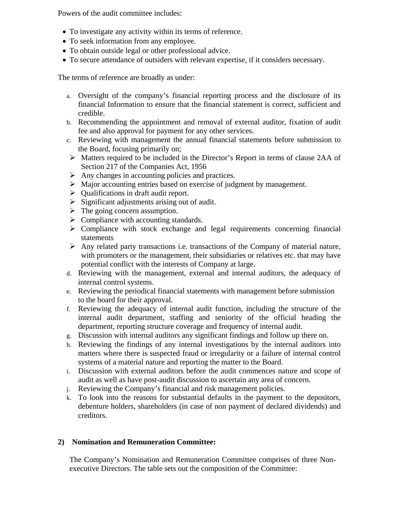Powers of the audit committee includes:

- To investigate any activity within its terms of reference.
- To seek information from any employee.
- To obtain outside legal or other professional advice.
- To secure attendance of outsiders with relevant expertise, if it considers necessary.

The terms of reference are broadly as under:

- a. Oversight of the company's financial reporting process and the disclosure of its financial Information to ensure that the financial statement is correct, sufficient and credible.
- b. Recommending the appointment and removal of external auditor, fixation of audit fee and also approval for payment for any other services.
- c. Reviewing with management the annual financial statements before submission to the Board, focusing primarily on;
- ¾ Matters required to be included in the Director's Report in terms of clause 2AA of Section 217 of the Companies Act, 1956
- $\triangleright$  Any changes in accounting policies and practices.
- $\triangleright$  Major accounting entries based on exercise of judgment by management.
- $\triangleright$  Qualifications in draft audit report.
- $\triangleright$  Significant adjustments arising out of audit.
- $\triangleright$  The going concern assumption.
- $\triangleright$  Compliance with accounting standards.
- $\triangleright$  Compliance with stock exchange and legal requirements concerning financial statements
- $\triangleright$  Any related party transactions i.e. transactions of the Company of material nature, with promoters or the management, their subsidiaries or relatives etc. that may have potential conflict with the interests of Company at large.
- d. Reviewing with the management, external and internal auditors, the adequacy of internal control systems.
- e. Reviewing the periodical financial statements with management before submission to the board for their approval.
- f. Reviewing the adequacy of internal audit function, including the structure of the internal audit department, staffing and seniority of the official heading the department, reporting structure coverage and frequency of internal audit.
- g. Discussion with internal auditors any significant findings and follow up there on.
- h. Reviewing the findings of any internal investigations by the internal auditors into matters where there is suspected fraud or irregularity or a failure of internal control systems of a material nature and reporting the matter to the Board.
- i. Discussion with external auditors before the audit commences nature and scope of audit as well as have post-audit discussion to ascertain any area of concern.
- j. Reviewing the Company's financial and risk management policies.
- k. To look into the reasons for substantial defaults in the payment to the depositors, debenture holders, shareholders (in case of non payment of declared dividends) and creditors.

# **2) Nomination and Remuneration Committee:**

The Company's Nomination and Remuneration Committee comprises of three Nonexecutive Directors. The table sets out the composition of the Committee: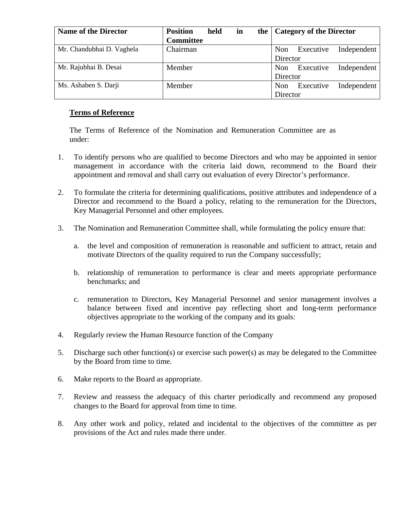| <b>Name of the Director</b> | <b>Position</b><br>held | in | the   Category of the Director         |  |  |
|-----------------------------|-------------------------|----|----------------------------------------|--|--|
|                             | <b>Committee</b>        |    |                                        |  |  |
| Mr. Chandubhai D. Vaghela   | Chairman                |    | Executive<br>Non<br>Independent        |  |  |
|                             |                         |    | Director                               |  |  |
| Mr. Rajubhai B. Desai       | Member                  |    | Independent<br>Executive<br>Non        |  |  |
|                             |                         |    | Director                               |  |  |
| Ms. Ashaben S. Darji        | Member                  |    | Independent<br>Executive<br><b>Non</b> |  |  |
|                             |                         |    | Director                               |  |  |

# **Terms of Reference**

The Terms of Reference of the Nomination and Remuneration Committee are as under:

- 1. To identify persons who are qualified to become Directors and who may be appointed in senior management in accordance with the criteria laid down, recommend to the Board their appointment and removal and shall carry out evaluation of every Director's performance.
- 2. To formulate the criteria for determining qualifications, positive attributes and independence of a Director and recommend to the Board a policy, relating to the remuneration for the Directors, Key Managerial Personnel and other employees.
- 3. The Nomination and Remuneration Committee shall, while formulating the policy ensure that:
	- a. the level and composition of remuneration is reasonable and sufficient to attract, retain and motivate Directors of the quality required to run the Company successfully;
	- b. relationship of remuneration to performance is clear and meets appropriate performance benchmarks; and
	- c. remuneration to Directors, Key Managerial Personnel and senior management involves a balance between fixed and incentive pay reflecting short and long-term performance objectives appropriate to the working of the company and its goals:
- 4. Regularly review the Human Resource function of the Company
- 5. Discharge such other function(s) or exercise such power(s) as may be delegated to the Committee by the Board from time to time.
- 6. Make reports to the Board as appropriate.
- 7. Review and reassess the adequacy of this charter periodically and recommend any proposed changes to the Board for approval from time to time.
- 8. Any other work and policy, related and incidental to the objectives of the committee as per provisions of the Act and rules made there under.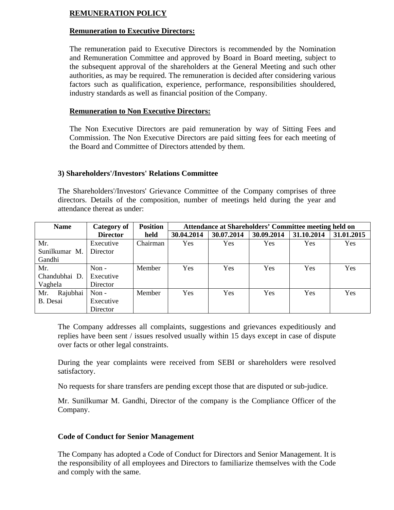# **REMUNERATION POLICY**

## **Remuneration to Executive Directors:**

The remuneration paid to Executive Directors is recommended by the Nomination and Remuneration Committee and approved by Board in Board meeting, subject to the subsequent approval of the shareholders at the General Meeting and such other authorities, as may be required. The remuneration is decided after considering various factors such as qualification, experience, performance, responsibilities shouldered, industry standards as well as financial position of the Company.

#### **Remuneration to Non Executive Directors:**

The Non Executive Directors are paid remuneration by way of Sitting Fees and Commission. The Non Executive Directors are paid sitting fees for each meeting of the Board and Committee of Directors attended by them.

## **3) Shareholders'/Investors' Relations Committee**

The Shareholders'/Investors' Grievance Committee of the Company comprises of three directors. Details of the composition, number of meetings held during the year and attendance thereat as under:

| <b>Name</b>     | Category of     | <b>Position</b> | Attendance at Shareholders' Committee meeting held on |            |            |            |            |  |
|-----------------|-----------------|-----------------|-------------------------------------------------------|------------|------------|------------|------------|--|
|                 | <b>Director</b> | held            | 30.04.2014                                            | 30.07.2014 | 30.09.2014 | 31.10.2014 | 31.01.2015 |  |
| Mr.             | Executive       | Chairman        | Yes                                                   | Yes        | Yes        | Yes        | Yes        |  |
| Sunilkumar M.   | Director        |                 |                                                       |            |            |            |            |  |
| Gandhi          |                 |                 |                                                       |            |            |            |            |  |
| Mr.             | Non $-$         | Member          | Yes                                                   | Yes        | Yes        | Yes        | Yes        |  |
| Chandubhai D.   | Executive       |                 |                                                       |            |            |            |            |  |
| Vaghela         | Director        |                 |                                                       |            |            |            |            |  |
| Rajubhai<br>Mr. | Non $-$         | Member          | Yes                                                   | Yes        | Yes        | Yes        | Yes        |  |
| B. Desai        | Executive       |                 |                                                       |            |            |            |            |  |
|                 | Director        |                 |                                                       |            |            |            |            |  |

The Company addresses all complaints, suggestions and grievances expeditiously and replies have been sent / issues resolved usually within 15 days except in case of dispute over facts or other legal constraints.

During the year complaints were received from SEBI or shareholders were resolved satisfactory.

No requests for share transfers are pending except those that are disputed or sub-judice.

Mr. Sunilkumar M. Gandhi, Director of the company is the Compliance Officer of the Company.

# **Code of Conduct for Senior Management**

The Company has adopted a Code of Conduct for Directors and Senior Management. It is the responsibility of all employees and Directors to familiarize themselves with the Code and comply with the same.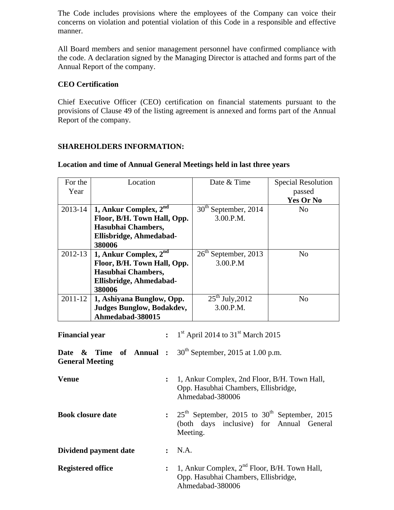The Code includes provisions where the employees of the Company can voice their concerns on violation and potential violation of this Code in a responsible and effective manner.

All Board members and senior management personnel have confirmed compliance with the code. A declaration signed by the Managing Director is attached and forms part of the Annual Report of the company.

## **CEO Certification**

**Book closure date** 

**Dividend payment date :** N.A.

Chief Executive Officer (CEO) certification on financial statements pursuant to the provisions of Clause 49 of the listing agreement is annexed and forms part of the Annual Report of the company.

## **SHAREHOLDERS INFORMATION:**

| For the                                                                       | Location                                                                                         | Date & Time                      | <b>Special Resolution</b> |  |  |  |
|-------------------------------------------------------------------------------|--------------------------------------------------------------------------------------------------|----------------------------------|---------------------------|--|--|--|
| Year                                                                          |                                                                                                  |                                  | passed                    |  |  |  |
|                                                                               |                                                                                                  |                                  | <b>Yes Or No</b>          |  |  |  |
| 2013-14                                                                       | 1, Ankur Complex, $2nd$                                                                          | 30 <sup>th</sup> September, 2014 | N <sub>o</sub>            |  |  |  |
|                                                                               | Floor, B/H. Town Hall, Opp.                                                                      | 3.00.P.M.                        |                           |  |  |  |
|                                                                               | Hasubhai Chambers,                                                                               |                                  |                           |  |  |  |
|                                                                               | Ellisbridge, Ahmedabad-                                                                          |                                  |                           |  |  |  |
|                                                                               | 380006                                                                                           |                                  |                           |  |  |  |
| 2012-13                                                                       | 1, Ankur Complex, $2^{nd}$                                                                       | $26th$ September, 2013           | N <sub>o</sub>            |  |  |  |
|                                                                               | Floor, B/H. Town Hall, Opp.                                                                      | 3.00.P.M                         |                           |  |  |  |
| Hasubhai Chambers,                                                            |                                                                                                  |                                  |                           |  |  |  |
| Ellisbridge, Ahmedabad-                                                       |                                                                                                  |                                  |                           |  |  |  |
|                                                                               | 380006                                                                                           |                                  |                           |  |  |  |
| $2011 - 12$                                                                   | 1, Ashiyana Bunglow, Opp.                                                                        | $25^{th}$ July, 2012             | N <sub>o</sub>            |  |  |  |
|                                                                               | <b>Judges Bunglow, Bodakdev,</b>                                                                 | 3.00.P.M.                        |                           |  |  |  |
|                                                                               | Ahmedabad-380015                                                                                 |                                  |                           |  |  |  |
| : $1^{st}$ April 2014 to 31 <sup>st</sup> March 2015<br><b>Financial year</b> |                                                                                                  |                                  |                           |  |  |  |
| Date                                                                          | $30th$ September, 2015 at 1.00 p.m.<br>of Annual :<br><b>Time</b><br>&<br><b>General Meeting</b> |                                  |                           |  |  |  |
| <b>Venue</b>                                                                  | 1, Ankur Complex, 2nd Floor, B/H. Town Hall,                                                     |                                  |                           |  |  |  |

Opp. Hasubhai Chambers, Ellisbridge,

September, 2015 to  $30<sup>th</sup>$  September, 2015 (both days inclusive) for Annual General

Ahmedabad-380006

#### **Location and time of Annual General Meetings held in last three years**

| Opp. Hasubhai Chambers, Ellisbridge,<br>Ahmedabad-380006 | <b>Registered office</b> | : 1, Ankur Complex, $2^{nd}$ Floor, B/H. Town Hall, |
|----------------------------------------------------------|--------------------------|-----------------------------------------------------|
|----------------------------------------------------------|--------------------------|-----------------------------------------------------|

Meeting.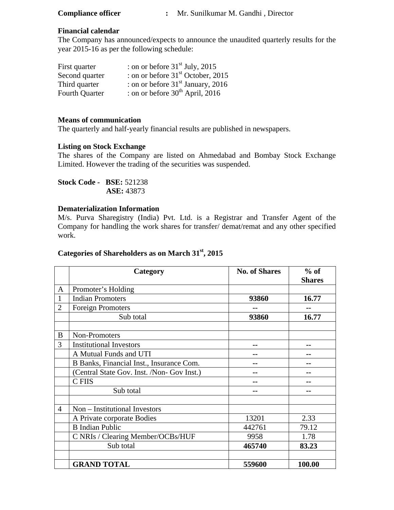| <b>Compliance officer</b> |  |
|---------------------------|--|
|---------------------------|--|

#### **Financial calendar**

The Company has announced/expects to announce the unaudited quarterly results for the year 2015-16 as per the following schedule:

| First quarter         | : on or before $31st$ July, 2015     |
|-----------------------|--------------------------------------|
| Second quarter        | : on or before $31st$ October, 2015  |
| Third quarter         | : on or before $31st$ January, 2016  |
| <b>Fourth Quarter</b> | : on or before $30^{th}$ April, 2016 |

#### **Means of communication**

The quarterly and half-yearly financial results are published in newspapers.

#### **Listing on Stock Exchange**

The shares of the Company are listed on Ahmedabad and Bombay Stock Exchange Limited. However the trading of the securities was suspended.

**Stock Code - BSE:** 521238  **ASE:** 43873

## **Dematerialization Information**

M/s. Purva Sharegistry (India) Pvt. Ltd. is a Registrar and Transfer Agent of the Company for handling the work shares for transfer/ demat/remat and any other specified work.

# **Categories of Shareholders as on March 31st, 2015**

|                | Category                                   | <b>No. of Shares</b> | $%$ of<br><b>Shares</b> |
|----------------|--------------------------------------------|----------------------|-------------------------|
| $\mathbf{A}$   | Promoter's Holding                         |                      |                         |
| $\mathbf{1}$   | <b>Indian Promoters</b>                    | 93860                | 16.77                   |
| $\overline{2}$ | <b>Foreign Promoters</b>                   |                      |                         |
|                | Sub total                                  | 93860                | 16.77                   |
|                |                                            |                      |                         |
| B              | Non-Promoters                              |                      |                         |
| 3              | <b>Institutional Investors</b>             |                      |                         |
|                | A Mutual Funds and UTI                     |                      |                         |
|                | B Banks, Financial Inst., Insurance Com.   | --                   |                         |
|                | (Central State Gov. Inst. /Non- Gov Inst.) |                      |                         |
|                | C FIIS                                     |                      |                         |
|                | Sub total                                  | --                   | --                      |
|                |                                            |                      |                         |
| $\overline{4}$ | Non – Institutional Investors              |                      |                         |
|                | A Private corporate Bodies                 | 13201                | 2.33                    |
|                | <b>B</b> Indian Public                     | 442761               | 79.12                   |
|                | C NRIs / Clearing Member/OCBs/HUF          | 9958                 | 1.78                    |
|                | Sub total                                  | 465740               | 83.23                   |
|                |                                            |                      |                         |
|                | <b>GRAND TOTAL</b>                         | 559600               | 100.00                  |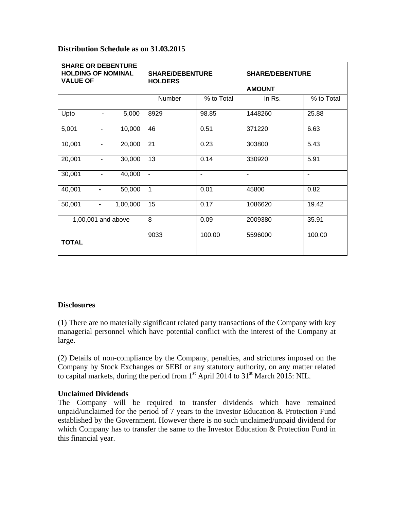#### **Distribution Schedule as on 31.03.2015**

| <b>SHARE OR DEBENTURE</b><br><b>HOLDING OF NOMINAL</b><br><b>VALUE OF</b> |                              | <b>SHARE/DEBENTURE</b><br><b>HOLDERS</b> |               | <b>SHARE/DEBENTURE</b><br><b>AMOUNT</b> |                |                          |
|---------------------------------------------------------------------------|------------------------------|------------------------------------------|---------------|-----------------------------------------|----------------|--------------------------|
|                                                                           |                              |                                          | Number        | % to Total                              | In Rs.         | % to Total               |
| Upto                                                                      |                              | 5,000                                    | 8929          | 98.85                                   | 1448260        | 25.88                    |
| 5,001                                                                     | $\overline{\phantom{a}}$     | 10,000                                   | 46            | 0.51                                    | 371220         | 6.63                     |
| 10,001                                                                    | $\overline{\phantom{a}}$     | 20,000                                   | 21            | 0.23                                    | 303800         | 5.43                     |
| 20,001                                                                    | $\blacksquare$               | 30,000                                   | 13            | 0.14                                    | 330920         | 5.91                     |
| 30,001                                                                    | $\qquad \qquad \blacksquare$ | 40,000                                   | $\frac{1}{2}$ | $\blacksquare$                          | $\blacksquare$ | $\overline{\phantom{a}}$ |
| 40,001                                                                    | -                            | 50,000                                   | $\mathbf{1}$  | 0.01                                    | 45800          | 0.82                     |
| 50,001                                                                    | $\blacksquare$               | 1,00,000                                 | 15            | 0.17                                    | 1086620        | 19.42                    |
|                                                                           |                              | 1,00,001 and above                       | 8             | 0.09                                    | 2009380        | 35.91                    |
| <b>TOTAL</b>                                                              |                              |                                          | 9033          | 100.00                                  | 5596000        | 100.00                   |

#### **Disclosures**

(1) There are no materially significant related party transactions of the Company with key managerial personnel which have potential conflict with the interest of the Company at large.

(2) Details of non-compliance by the Company, penalties, and strictures imposed on the Company by Stock Exchanges or SEBI or any statutory authority, on any matter related to capital markets, during the period from  $1<sup>st</sup>$  April 2014 to 31<sup>st</sup> March 2015: NIL.

#### **Unclaimed Dividends**

The Company will be required to transfer dividends which have remained unpaid/unclaimed for the period of 7 years to the Investor Education & Protection Fund established by the Government. However there is no such unclaimed/unpaid dividend for which Company has to transfer the same to the Investor Education & Protection Fund in this financial year.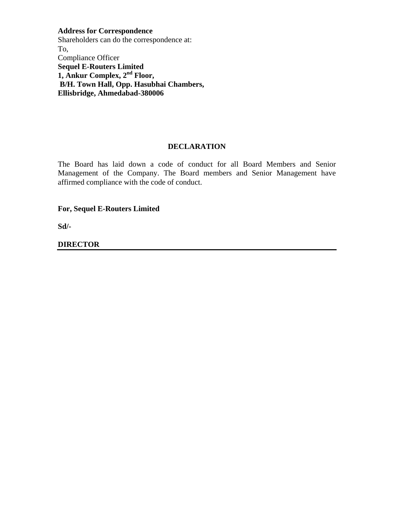**Address for Correspondence**  Shareholders can do the correspondence at: To, Compliance Officer **Sequel E-Routers Limited 1, Ankur Complex, 2nd Floor, B/H. Town Hall, Opp. Hasubhai Chambers, Ellisbridge, Ahmedabad-380006** 

#### **DECLARATION**

The Board has laid down a code of conduct for all Board Members and Senior Management of the Company. The Board members and Senior Management have affirmed compliance with the code of conduct.

**For, Sequel E-Routers Limited** 

**Sd/-** 

**DIRECTOR**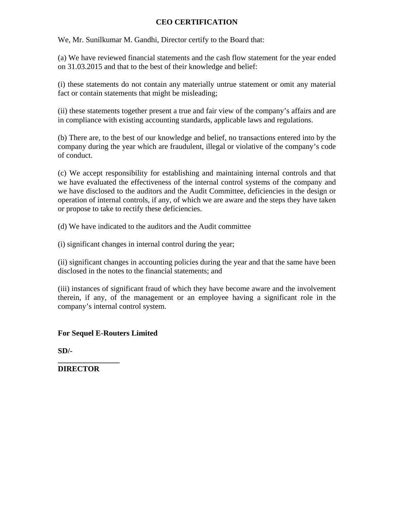## **CEO CERTIFICATION**

We, Mr. Sunilkumar M. Gandhi, Director certify to the Board that:

(a) We have reviewed financial statements and the cash flow statement for the year ended on 31.03.2015 and that to the best of their knowledge and belief:

(i) these statements do not contain any materially untrue statement or omit any material fact or contain statements that might be misleading;

(ii) these statements together present a true and fair view of the company's affairs and are in compliance with existing accounting standards, applicable laws and regulations.

(b) There are, to the best of our knowledge and belief, no transactions entered into by the company during the year which are fraudulent, illegal or violative of the company's code of conduct.

(c) We accept responsibility for establishing and maintaining internal controls and that we have evaluated the effectiveness of the internal control systems of the company and we have disclosed to the auditors and the Audit Committee, deficiencies in the design or operation of internal controls, if any, of which we are aware and the steps they have taken or propose to take to rectify these deficiencies.

(d) We have indicated to the auditors and the Audit committee

(i) significant changes in internal control during the year;

(ii) significant changes in accounting policies during the year and that the same have been disclosed in the notes to the financial statements; and

(iii) instances of significant fraud of which they have become aware and the involvement therein, if any, of the management or an employee having a significant role in the company's internal control system.

**For Sequel E-Routers Limited** 

**SD/-** 

**DIRECTOR** 

**\_\_\_\_\_\_\_\_\_\_\_\_\_\_\_\_**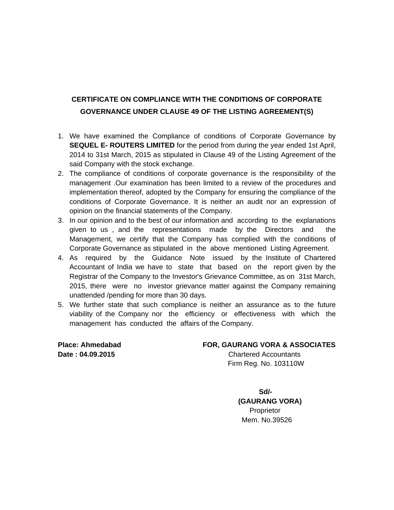# **CERTIFICATE ON COMPLIANCE WITH THE CONDITIONS OF CORPORATE GOVERNANCE UNDER CLAUSE 49 OF THE LISTING AGREEMENT(S)**

- 1. We have examined the Compliance of conditions of Corporate Governance by **SEQUEL E- ROUTERS LIMITED** for the period from during the year ended 1st April, 2014 to 31st March, 2015 as stipulated in Clause 49 of the Listing Agreement of the said Company with the stock exchange.
- 2. The compliance of conditions of corporate governance is the responsibility of the management .Our examination has been limited to a review of the procedures and implementation thereof, adopted by the Company for ensuring the compliance of the conditions of Corporate Governance. It is neither an audit nor an expression of opinion on the financial statements of the Company.
- 3. In our opinion and to the best of our information and according to the explanations given to us , and the representations made by the Directors and the Management, we certify that the Company has complied with the conditions of Corporate Governance as stipulated in the above mentioned Listing Agreement.
- 4. As required by the Guidance Note issued by the Institute of Chartered Accountant of India we have to state that based on the report given by the Registrar of the Company to the Investor's Grievance Committee, as on 31st March, 2015, there were no investor grievance matter against the Company remaining unattended /pending for more than 30 days.
- 5. We further state that such compliance is neither an assurance as to the future viability of the Company nor the efficiency or effectiveness with which the management has conducted the affairs of the Company.

#### **Place: Ahmedabad FOR, GAURANG VORA & ASSOCIATES**

**Date : 04.09.2015** Chartered Accountants Firm Reg. No. 103110W

**Sd/-**  $S$ d/- **(GAURANG VORA)** Proprietor Mem. No.39526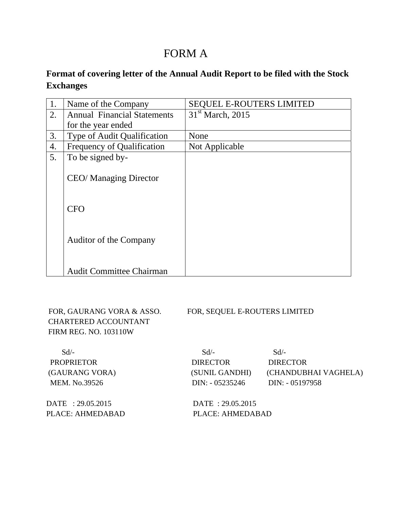# FORM A

# **Format of covering letter of the Annual Audit Report to be filed with the Stock Exchanges**

| 1. | Name of the Company                | <b>SEQUEL E-ROUTERS LIMITED</b> |
|----|------------------------------------|---------------------------------|
| 2. | <b>Annual Financial Statements</b> | $31st$ March, 2015              |
|    | for the year ended                 |                                 |
| 3. | Type of Audit Qualification        | None                            |
| 4. | <b>Frequency of Qualification</b>  | Not Applicable                  |
| 5. | To be signed by-                   |                                 |
|    | <b>CEO/</b> Managing Director      |                                 |
|    | <b>CFO</b>                         |                                 |
|    | Auditor of the Company             |                                 |
|    | <b>Audit Committee Chairman</b>    |                                 |

 CHARTERED ACCOUNTANT FIRM REG. NO. 103110W

FOR, GAURANG VORA & ASSO. FOR, SEQUEL E-ROUTERS LIMITED

| $Sd/-$            | $Sd/-$           | $Sd/-$               |
|-------------------|------------------|----------------------|
| <b>PROPRIETOR</b> | <b>DIRECTOR</b>  | <b>DIRECTOR</b>      |
| (GAURANG VORA)    | (SUNIL GANDHI)   | (CHANDUBHAI VAGHELA) |
| MEM. No.39526     | $DIN: -05235246$ | $DIN: -05197958$     |
|                   |                  |                      |

DATE : 29.05.2015 DATE : 29.05.2015 PLACE: AHMEDABAD PLACE: AHMEDABAD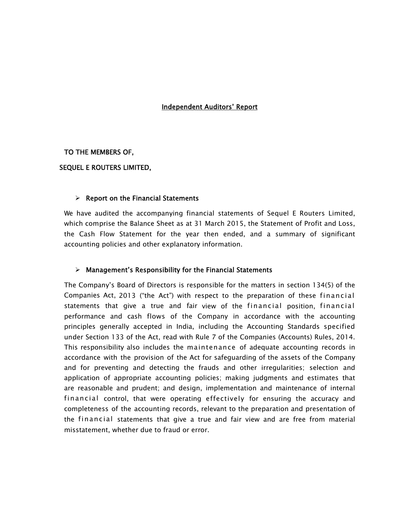#### Independent Auditors' Report

#### TO THE MEMBERS OF,

#### SEQUEL E ROUTERS LIMITED,

#### $\triangleright$  Report on the Financial Statements

We have audited the accompanying financial statements of Sequel E Routers Limited, which comprise the Balance Sheet as at 31 March 2015, the Statement of Profit and Loss, the Cash Flow Statement for the year then ended, and a summary of significant accounting policies and other explanatory information.

#### $\triangleright$  Management's Responsibility for the Financial Statements

The Company's Board of Directors is responsible for the matters in section 134(5) of the Companies Act, 2013 ("the Act") with respect to the preparation of these financial statements that give a true and fair view of the financial position, financial performance and cash flows of the Company in accordance with the accounting principles generally accepted in India, including the Accounting Standards specified under Section 133 of the Act, read with Rule 7 of the Companies (Accounts) Rules, 2014. This responsibility also includes the maintenance of adequate accounting records in accordance with the provision of the Act for safeguarding of the assets of the Company and for preventing and detecting the frauds and other irregularities; selection and application of appropriate accounting policies; making judgments and estimates that are reasonable and prudent; and design, implementation and maintenance of internal financial control, that were operating effectively for ensuring the accuracy and completeness of the accounting records, relevant to the preparation and presentation of the financial statements that give a true and fair view and are free from material misstatement, whether due to fraud or error.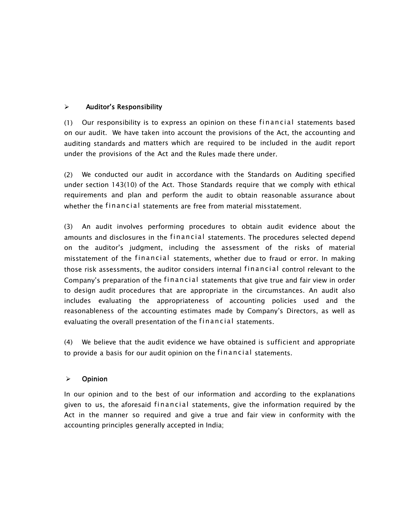# $\triangleright$  Auditor's Responsibility

(1) Our responsibility is to express an opinion on these financial statements based on our audit. We have taken into account the provisions of the Act, the accounting and auditing standards and matters which are required to be included in the audit report under the provisions of the Act and the Rules made there under.

(2) We conducted our audit in accordance with the Standards on Auditing specified under section 143(10) of the Act. Those Standards require that we comply with ethical requirements and plan and perform the audit to obtain reasonable assurance about whether the financial statements are free from material misstatement.

(3) An audit involves performing procedures to obtain audit evidence about the amounts and disclosures in the financial statements. The procedures selected depend on the auditor's judgment, including the assessment of the risks of material misstatement of the financial statements, whether due to fraud or error. In making those risk assessments, the auditor considers internal financial control relevant to the Company's preparation of the financial statements that give true and fair view in order to design audit procedures that are appropriate in the circumstances. An audit also includes evaluating the appropriateness of accounting policies used and the reasonableness of the accounting estimates made by Company's Directors, as well as evaluating the overall presentation of the financial statements.

(4) We believe that the audit evidence we have obtained is sufficient and appropriate to provide a basis for our audit opinion on the financial statements.

#### ¾ Opinion

In our opinion and to the best of our information and according to the explanations given to us, the aforesaid financial statements, give the information required by the Act in the manner so required and give a true and fair view in conformity with the accounting principles generally accepted in India;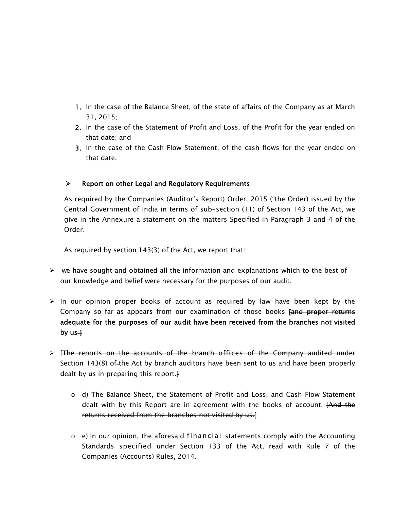- 1. In the case of the Balance Sheet, of the state of affairs of the Company as at March 31, 2015;
- 2. In the case of the Statement of Profit and Loss, of the Profit for the year ended on that date; and
- 3. In the case of the Cash Flow Statement, of the cash flows for the year ended on that date.

# $\triangleright$  Report on other Legal and Regulatory Requirements

As required by the Companies (Auditor's Report) Order, 2015 ("the Order) issued by the Central Government of India in terms of sub-section (11) of Section 143 of the Act, we give in the Annexure a statement on the matters Specified in Paragraph 3 and 4 of the Order.

As required by section 143(3) of the Act, we report that:

- $\triangleright$  we have sought and obtained all the information and explanations which to the best of our knowledge and belief were necessary for the purposes of our audit.
- $\triangleright$  In our opinion proper books of account as required by law have been kept by the Company so far as appears from our examination of those books [and proper returns adequate for the purposes of our audit have been received from the branches not visited  $by$  us  $\}$
- ¾ [The reports on the accounts of the branch offices of the Company audited under Section 143(8) of the Act by branch auditors have been sent to us and have been properly dealt by us in preparing this report.]
	- $\circ$  d) The Balance Sheet, the Statement of Profit and Loss, and Cash Flow Statement dealt with by this Report are in agreement with the books of account. [And the returns received from the branches not visited by us.]
	- $\circ$  e) In our opinion, the aforesaid financial statements comply with the Accounting Standards specified under Section 133 of the Act, read with Rule 7 of the Companies (Accounts) Rules, 2014.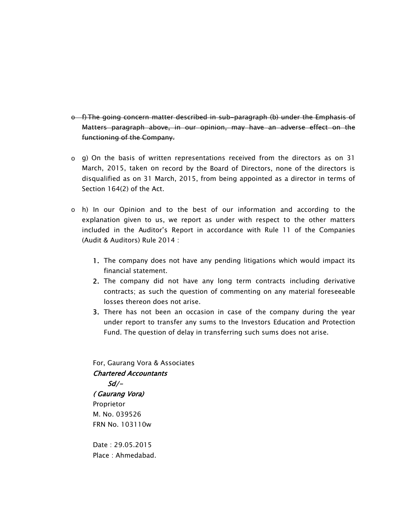- o f) The going concern matter described in sub-paragraph (b) under the Emphasis of Matters paragraph above, in our opinion, may have an adverse effect on the functioning of the Company.
- o g) On the basis of written representations received from the directors as on 31 March, 2015, taken on record by the Board of Directors, none of the directors is disqualified as on 31 March, 2015, from being appointed as a director in terms of Section 164(2) of the Act.
- o h) In our Opinion and to the best of our information and according to the explanation given to us, we report as under with respect to the other matters included in the Auditor's Report in accordance with Rule 11 of the Companies (Audit & Auditors) Rule 2014 :
	- 1. The company does not have any pending litigations which would impact its financial statement.
	- 2. The company did not have any long term contracts including derivative contracts; as such the question of commenting on any material foreseeable losses thereon does not arise.
	- 3. There has not been an occasion in case of the company during the year under report to transfer any sums to the Investors Education and Protection Fund. The question of delay in transferring such sums does not arise.

For, Gaurang Vora & Associates Chartered Accountants  $Sd/-$ 

( Gaurang Vora) Proprietor M. No. 039526 FRN No. 103110w

Date : 29.05.2015 Place : Ahmedabad.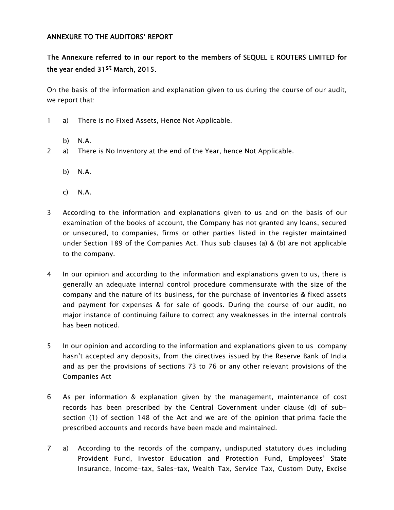#### ANNEXURE TO THE AUDITORS' REPORT

# The Annexure referred to in our report to the members of SEQUEL E ROUTERS LIMITED for the year ended 31st March, 2015.

On the basis of the information and explanation given to us during the course of our audit, we report that:

- 1 a) There is no Fixed Assets, Hence Not Applicable.
	- b) N.A.
- 2 a) There is No Inventory at the end of the Year, hence Not Applicable.
	- b) N.A.
	- c) N.A.
- 3 According to the information and explanations given to us and on the basis of our examination of the books of account, the Company has not granted any loans, secured or unsecured, to companies, firms or other parties listed in the register maintained under Section 189 of the Companies Act. Thus sub clauses (a) & (b) are not applicable to the company.
- 4 In our opinion and according to the information and explanations given to us, there is generally an adequate internal control procedure commensurate with the size of the company and the nature of its business, for the purchase of inventories & fixed assets and payment for expenses & for sale of goods. During the course of our audit, no major instance of continuing failure to correct any weaknesses in the internal controls has been noticed.
- 5 In our opinion and according to the information and explanations given to us company hasn't accepted any deposits, from the directives issued by the Reserve Bank of India and as per the provisions of sections 73 to 76 or any other relevant provisions of the Companies Act
- 6 As per information & explanation given by the management, maintenance of cost records has been prescribed by the Central Government under clause (d) of subsection (1) of section 148 of the Act and we are of the opinion that prima facie the prescribed accounts and records have been made and maintained.
- 7 a) According to the records of the company, undisputed statutory dues including Provident Fund, Investor Education and Protection Fund, Employees' State Insurance, Income-tax, Sales-tax, Wealth Tax, Service Tax, Custom Duty, Excise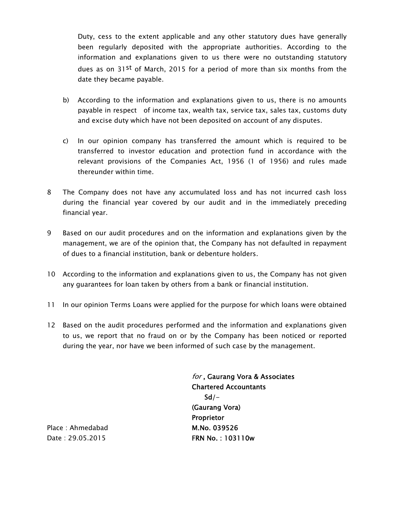Duty, cess to the extent applicable and any other statutory dues have generally been regularly deposited with the appropriate authorities. According to the information and explanations given to us there were no outstanding statutory dues as on 31<sup>st</sup> of March, 2015 for a period of more than six months from the date they became payable.

- b) According to the information and explanations given to us, there is no amounts payable in respect of income tax, wealth tax, service tax, sales tax, customs duty and excise duty which have not been deposited on account of any disputes.
- c) In our opinion company has transferred the amount which is required to be transferred to investor education and protection fund in accordance with the relevant provisions of the Companies Act, 1956 (1 of 1956) and rules made thereunder within time.
- 8 The Company does not have any accumulated loss and has not incurred cash loss during the financial year covered by our audit and in the immediately preceding financial year.
- 9 Based on our audit procedures and on the information and explanations given by the management, we are of the opinion that, the Company has not defaulted in repayment of dues to a financial institution, bank or debenture holders.
- 10 According to the information and explanations given to us, the Company has not given any guarantees for loan taken by others from a bank or financial institution.
- 11 In our opinion Terms Loans were applied for the purpose for which loans were obtained
- 12 Based on the audit procedures performed and the information and explanations given to us, we report that no fraud on or by the Company has been noticed or reported during the year, nor have we been informed of such case by the management.

for , Gaurang Vora & Associates Chartered Accountants  $Sd/-$ (Gaurang Vora) Proprietor M.No. 039526 FRN No. : 103110w

Place : Ahmedabad Date : 29.05.2015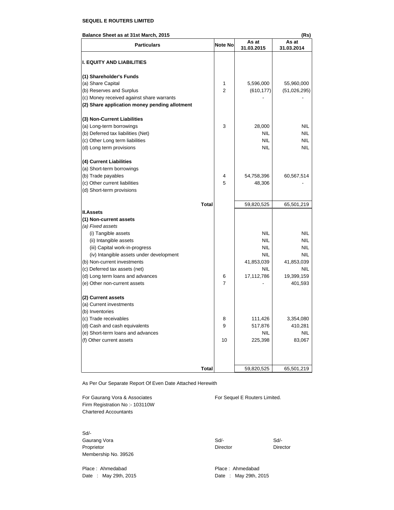#### **SEQUEL E ROUTERS LIMITED**

#### **Balance Sheet as at 31st March, 2015 (Rs)**

| <b>Particulars</b>                            | Note No        | As at<br>31.03.2015 | As at<br>31.03.2014 |
|-----------------------------------------------|----------------|---------------------|---------------------|
| <b>I. EQUITY AND LIABILITIES</b>              |                |                     |                     |
| (1) Shareholder's Funds                       |                |                     |                     |
| (a) Share Capital                             | 1              | 5,596,000           | 55,960,000          |
| (b) Reserves and Surplus                      | $\overline{2}$ | (610, 177)          | (51,026,295)        |
| (c) Money received against share warrants     |                |                     |                     |
| (2) Share application money pending allotment |                |                     |                     |
| (3) Non-Current Liabilities                   |                |                     |                     |
| (a) Long-term borrowings                      | 3              | 28,000              | <b>NIL</b>          |
| (b) Deferred tax liabilities (Net)            |                | <b>NIL</b>          | <b>NIL</b>          |
| (c) Other Long term liabilities               |                | <b>NIL</b>          | <b>NIL</b>          |
| (d) Long term provisions                      |                | <b>NIL</b>          | NIL                 |
| (4) Current Liabilities                       |                |                     |                     |
| (a) Short-term borrowings                     |                |                     |                     |
| (b) Trade payables                            | 4              | 54,758,396          | 60,567,514          |
| (c) Other current liabilities                 | 5              | 48,306              |                     |
| (d) Short-term provisions                     |                |                     |                     |
|                                               | <b>Total</b>   | 59,820,525          | 65,501,219          |
| <b>II.Assets</b>                              |                |                     |                     |
| (1) Non-current assets                        |                |                     |                     |
| (a) Fixed assets                              |                |                     |                     |
| (i) Tangible assets                           |                | <b>NIL</b>          | <b>NIL</b>          |
| (ii) Intangible assets                        |                | <b>NIL</b>          | <b>NIL</b>          |
| (iii) Capital work-in-progress                |                | <b>NIL</b>          | <b>NIL</b>          |
| (iv) Intangible assets under development      |                | <b>NIL</b>          | NIL                 |
| (b) Non-current investments                   |                | 41,853,039          | 41,853,039          |
| (c) Deferred tax assets (net)                 |                | <b>NIL</b>          | NIL                 |
| (d) Long term loans and advances              | 6              | 17,112,786          | 19,399,159          |
| (e) Other non-current assets                  | 7              |                     | 401,593             |
| (2) Current assets                            |                |                     |                     |
| (a) Current investments                       |                |                     |                     |
| (b) Inventories                               |                |                     |                     |
| (c) Trade receivables                         | 8              | 111,426             | 3,354,080           |
| (d) Cash and cash equivalents                 | 9              | 517,876             | 410,281             |
| (e) Short-term loans and advances             |                | <b>NIL</b>          | <b>NIL</b>          |
| (f) Other current assets                      | 10             | 225,398             | 83,067              |
|                                               |                |                     |                     |
|                                               | <b>Total</b>   | 59,820,525          | 65,501,219          |
|                                               |                |                     |                     |

As Per Our Separate Report Of Even Date Attached Herewith

For Gaurang Vora & Associates For Sequel E Routers Limited. Firm Registration No :- 103110W Chartered Accountants

Sd/- Membership No. 39526

Place : Ahmedabad Place : Ahmedabad Date : May 29th, 2015 Date : May 29th, 2015

Gaurang Vora **Sd/-** Sd/- Sd/- Sd/- Sd/- Sd/-Proprietor Director Director Director Director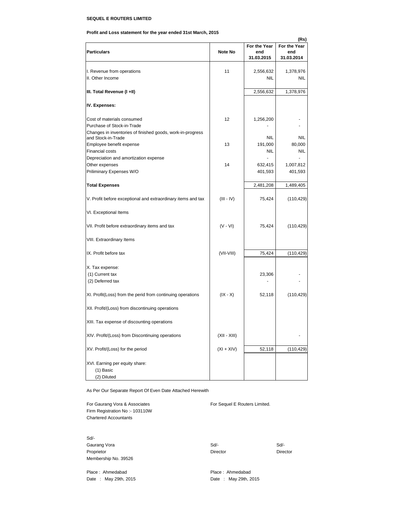#### **SEQUEL E ROUTERS LIMITED**

**Profit and Loss statement for the year ended 31st March, 2015**

|                                                                                  |                |                   | (Rs)              |
|----------------------------------------------------------------------------------|----------------|-------------------|-------------------|
|                                                                                  |                | For the Year      | For the Year      |
| <b>Particulars</b>                                                               | Note No        | end<br>31.03.2015 | end<br>31.03.2014 |
|                                                                                  |                |                   |                   |
| I. Revenue from operations                                                       | 11             | 2,556,632         | 1,378,976         |
| II. Other Income                                                                 |                | <b>NIL</b>        | NIL               |
|                                                                                  |                |                   |                   |
| III. Total Revenue (I +II)                                                       |                | 2,556,632         | 1,378,976         |
| IV. Expenses:                                                                    |                |                   |                   |
| Cost of materials consumed                                                       | 12             | 1,256,200         |                   |
| Purchase of Stock-in-Trade                                                       |                |                   |                   |
| Changes in inventories of finished goods, work-in-progress<br>and Stock-in-Trade |                | <b>NIL</b>        | <b>NIL</b>        |
| Employee benefit expense                                                         | 13             | 191,000           | 80,000            |
| <b>Financial costs</b>                                                           |                | <b>NIL</b>        | NIL               |
| Depreciation and amortization expense                                            |                |                   |                   |
| Other expenses                                                                   | 14             | 632,415           | 1,007,812         |
| Priliminary Expenses W/O                                                         |                | 401,593           | 401,593           |
| <b>Total Expenses</b>                                                            |                | 2,481,208         | 1,489,405         |
| V. Profit before exceptional and extraordinary items and tax                     | $(III - IV)$   | 75,424            | (110, 429)        |
| VI. Exceptional Items                                                            |                |                   |                   |
| VII. Profit before extraordinary items and tax                                   | $(V - VI)$     | 75,424            | (110, 429)        |
| VIII. Extraordinary Items                                                        |                |                   |                   |
| IX. Profit before tax                                                            | (VII-VIII)     | 75,424            | (110, 429)        |
| X. Tax expense:                                                                  |                |                   |                   |
| (1) Current tax                                                                  |                | 23,306            |                   |
| (2) Deferred tax                                                                 |                |                   |                   |
| XI. Profit(Loss) from the perid from continuing operations                       | $(IX - X)$     | 52,118            | (110, 429)        |
| XII. Profit/(Loss) from discontinuing operations                                 |                |                   |                   |
| XIII. Tax expense of discounting operations                                      |                |                   |                   |
| XIV. Profit/(Loss) from Discontinuing operations                                 | $(XII - XIII)$ |                   |                   |
| XV. Profit/(Loss) for the period                                                 | $(XI + XIV)$   | 52,118            | (110, 429)        |
| XVI. Earning per equity share:<br>(1) Basic<br>(2) Diluted                       |                |                   |                   |

As Per Our Separate Report Of Even Date Attached Herewith

For Gaurang Vora & Associates For Sequel E Routers Limited. Firm Registration No :- 103110W Chartered Accountants

Sd/- Gaurang Vora Sd/- Sd/- Proprietor Director Director Director Director Membership No. 39526

Place : Ahmedabad Place : Ahmedabad Place : Ahmedabad

Date : May 29th, 2015 **Date : May 29th, 2015**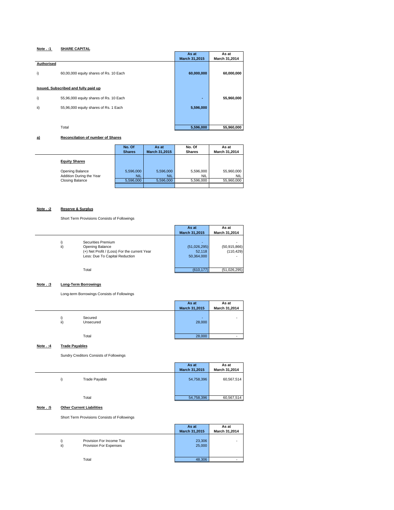#### **Note . :1 SHARE CAPITAL**

|                                                            | As at          | As at         |
|------------------------------------------------------------|----------------|---------------|
|                                                            | March 31,2015  | March 31,2014 |
| Authorised<br>60,00,000 equity shares of Rs. 10 Each<br>i) | 60,000,000     | 60,000,000    |
| Issued, Subscribed and fully paid up                       |                |               |
| i)<br>55,96,000 equity shares of Rs. 10 Each               | $\blacksquare$ | 55,960,000    |
| ii)<br>55,96,000 equity shares of Rs. 1 Each               | 5,596,000      |               |
|                                                            |                |               |
| Total                                                      | 5,596,000      | 55,960,000    |

#### **a) Reconcilation of number of Shares**

|                                             | No. Of<br><b>Shares</b> | As at<br>March 31,2015  | No. Of<br><b>Shares</b> | As at<br>March 31,2014   |
|---------------------------------------------|-------------------------|-------------------------|-------------------------|--------------------------|
| <b>Equity Shares</b>                        |                         |                         |                         |                          |
| Opening Balance<br>Addition During the Year | 5,596,000<br><b>NIL</b> | 5,596,000<br><b>NIL</b> | 5,596,000<br>NIL        | 55,960,000<br><b>NIL</b> |
| <b>Closing Balance</b>                      | 5,596,000               | 5.596.000               | 5,596,000               | 55,960,000               |
|                                             |                         |                         |                         |                          |

#### **Note . :2 Reserve & Surplus**

Short Term Provisions Consists of Followings

|                                                                                                                                | As at                                | As at                        |
|--------------------------------------------------------------------------------------------------------------------------------|--------------------------------------|------------------------------|
|                                                                                                                                | March 31,2015                        | March 31,2014                |
| Securities Premium<br>ii)<br>Opening Balance<br>(+) Net Profit / (Loss) For the current Year<br>Less: Due To Capital Reduction | (51,026,295)<br>52,118<br>50,364,000 | (50, 915, 866)<br>(110, 429) |
| Total                                                                                                                          | (610.177)                            | (51,026,295)                 |

#### **Note . :3 Long-Term Borrowings**

Long-term Borrowings Consists of Followings

|                             | As at         | As at         |
|-----------------------------|---------------|---------------|
|                             | March 31,2015 | March 31,2014 |
| Secured<br>ii)<br>Unsecured | 28,000        | -             |
| Total                       | 28,000        |               |

#### **Note . :4 Trade Payables**

Sundry Creditors Consists of Followings

|                     | As at         | As at         |
|---------------------|---------------|---------------|
|                     | March 31,2015 | March 31,2014 |
| Trade Payable<br>i) | 54,758,396    | 60,567,514    |
| Total               | 54,758,396    | 60,567,514    |

#### **Note . :5 Other Current Liabilities**

Short Term Provisions Consists of Followings

|                                                           | As at<br>March 31,2015 | As at<br>March 31,2014 |
|-----------------------------------------------------------|------------------------|------------------------|
| Provision For Income Tax<br>ii)<br>Provision For Expenses | 23,306<br>25,000       |                        |
| Total                                                     | 48,306                 | -                      |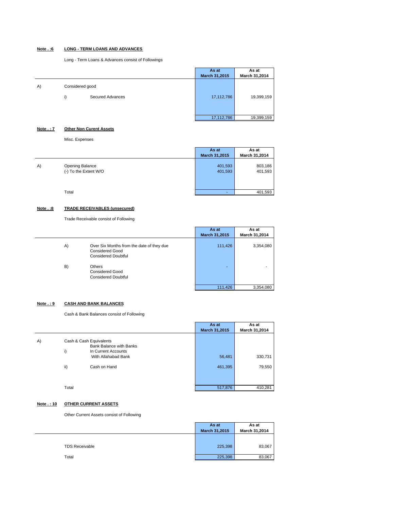#### **Note . :6 LONG - TERM LOANS AND ADVANCES**

Long - Term Loans & Advances consist of Followings

|    |                 |                         | As at<br>March 31,2015 | As at<br>March 31,2014 |
|----|-----------------|-------------------------|------------------------|------------------------|
| A) | Considered good |                         |                        |                        |
|    | i)              | <b>Secured Advances</b> | 17,112,786             | 19,399,159             |
|    |                 |                         |                        |                        |
|    |                 |                         | 17,112,786             | 19,399,159             |

**Note . : 7 Other Non Curent Assets**

Misc. Expenses

|    |                                          | As at<br>March 31,2015 | As at<br>March 31,2014 |
|----|------------------------------------------|------------------------|------------------------|
| A) | Opening Balance<br>(-) To the Extent W/O | 401,593<br>401,593     | 803,186<br>401,593     |
|    | Total                                    |                        | 401,593                |

#### **Note . :8 TRADE RECEIVABLES (unsecured)**

Trade Receivable consist of Following

|                                                                                                         | As at                    | As at         |
|---------------------------------------------------------------------------------------------------------|--------------------------|---------------|
|                                                                                                         | March 31,2015            | March 31,2014 |
| A)<br>Over Six Months from the date of they due<br><b>Considered Good</b><br><b>Considered Doubtful</b> | 111,426                  | 3,354,080     |
| B)<br>Others<br><b>Considered Good</b><br><b>Considered Doubtful</b>                                    | $\overline{\phantom{a}}$ | -             |
|                                                                                                         | 111,426                  | 3,354,080     |

#### **Note . : 9 CASH AND BANK BALANCES**

Cash & Bank Balances consist of Following

|    |       |                                                                                  | As at         | As at              |
|----|-------|----------------------------------------------------------------------------------|---------------|--------------------|
|    |       |                                                                                  | March 31,2015 | March 31,2014      |
| A) | i)    | Cash & Cash Equivalents<br><b>Bank Balance with Banks</b><br>In Current Accounts |               |                    |
|    |       | With Allahabad Bank                                                              |               | 330,731<br>56,481  |
|    | ii)   | Cash on Hand                                                                     |               | 79,550<br>461,395  |
|    | Total |                                                                                  |               | 410,281<br>517,876 |

#### **Note . : 10 OTHER CURRENT ASSETS**

Other Current Assets consist of Following

|                       | As at<br>March 31,2015 | As at<br>March 31,2014 |
|-----------------------|------------------------|------------------------|
| <b>TDS Receivable</b> | 225,398                | 83,067                 |
| Total                 | 225,398                | 83,067                 |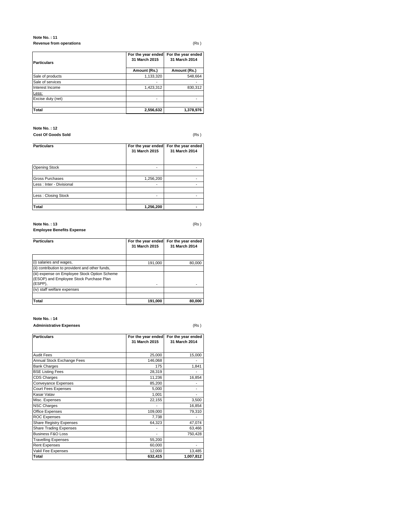#### **Note No. : 11 Revenue from operations** (Rs )

| <b>Particulars</b> | For the year ended<br>31 March 2015 | For the year ended<br>31 March 2014 |
|--------------------|-------------------------------------|-------------------------------------|
|                    | Amount (Rs.)                        | Amount (Rs.)                        |
| Sale of products   | 1,133,320                           | 548,664                             |
| Sale of services   |                                     |                                     |
| Interest Income    | 1,423,312                           | 830,312                             |
| Less:              |                                     |                                     |
| Excise duty (net)  |                                     |                                     |
| Total              | 2,556,632                           | 1,378,976                           |

#### **Note No. : 12**

**Cost Of Goods Sold** (Rs )

| <b>Particulars</b>        | For the year ended<br>31 March 2015 | For the year ended<br>31 March 2014 |
|---------------------------|-------------------------------------|-------------------------------------|
| <b>Opening Stock</b>      |                                     |                                     |
| <b>Gross Purchases</b>    | 1,256,200                           |                                     |
| Less : Inter - Divisional |                                     |                                     |
| Less: Closing Stock       |                                     |                                     |
| Total                     | 1,256,200                           |                                     |

#### **Note No. : 13** (Rs ) **Employee Benefits Expense**

| <b>Particulars</b>                                                                                  | For the year ended<br>31 March 2015 | For the year ended<br>31 March 2014 |
|-----------------------------------------------------------------------------------------------------|-------------------------------------|-------------------------------------|
|                                                                                                     |                                     |                                     |
| (i) salaries and wages,                                                                             | 191,000                             | 80.000                              |
| (ii) contribution to provident and other funds,                                                     |                                     |                                     |
| (iii) expense on Employee Stock Option Scheme<br>(ESOP) and Employee Stock Purchase Plan<br>(ESPP), |                                     |                                     |
| (iv) staff welfare expenses                                                                         |                                     |                                     |
|                                                                                                     |                                     |                                     |
| <b>Total</b>                                                                                        | 191.000                             | 80.000                              |

#### **Note No. : 14**

**Administrative Expenses** (Rs )

| <b>Particulars</b>             | For the year ended<br>31 March 2015 | For the year ended<br>31 March 2014 |
|--------------------------------|-------------------------------------|-------------------------------------|
| <b>Audit Fees</b>              | 25,000                              | 15,000                              |
| Annual Stock Exchange Fees     | 146,068                             |                                     |
| <b>Bank Charges</b>            | 175                                 | 1,841                               |
| <b>BSE Listing Fees</b>        | 28,319                              |                                     |
| <b>CDS Charges</b>             | 11,236                              | 16,854                              |
| <b>Conveyance Expenses</b>     | 85,200                              |                                     |
| <b>Court Fees Expenses</b>     | 5,000                               |                                     |
| Kasar Vatav                    | 1,001                               |                                     |
| Misc. Expenses                 | 22,155                              | 3,500                               |
| <b>NSC Charges</b>             |                                     | 16,854                              |
| <b>Office Expenses</b>         | 109,000                             | 79,310                              |
| <b>ROC Expenses</b>            | 7,738                               |                                     |
| <b>Share Registry Expenses</b> | 64,323                              | 47,074                              |
| <b>Share Trading Expenses</b>  |                                     | 63,466                              |
| <b>Business F&amp;O Loss</b>   |                                     | 750,428                             |
| <b>Travelling Expenses</b>     | 55,200                              |                                     |
| <b>Rent Expenses</b>           | 60,000                              |                                     |
| Vakil Fee Expenses             | 12,000                              | 13,485                              |
| Total                          | 632,415                             | 1,007,812                           |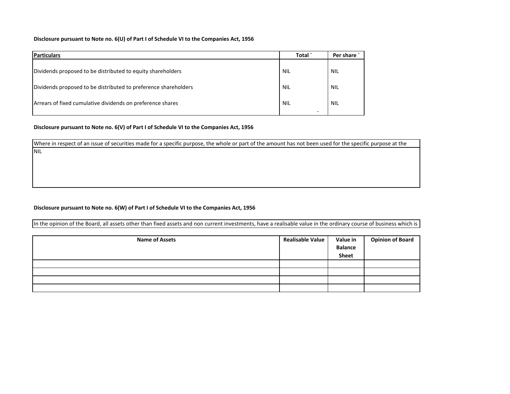#### **Disclosure pursuant to Note no. 6(U) of Part I of Schedule VI to the Companies Act, 1956**

| <b>Particulars</b>                                              | Total                                  | Per share  |
|-----------------------------------------------------------------|----------------------------------------|------------|
| Dividends proposed to be distributed to equity shareholders     | <b>NIL</b>                             | <b>NIL</b> |
| Dividends proposed to be distributed to preference shareholders | <b>NIL</b>                             | <b>NIL</b> |
| Arrears of fixed cumulative dividends on preference shares      | <b>NIL</b><br>$\overline{\phantom{0}}$ | <b>NIL</b> |

#### **Disclosure pursuant to Note no. 6(V) of Part I of Schedule VI to the Companies Act, 1956**

NIL

Where in respect of an issue of securities made for <sup>a</sup> specific purpose, the whole or part of the amount has not been used for the specific purpose at the

#### **Disclosure pursuant to Note no. 6(W) of Part I of Schedule VI to the Companies Act, 1956**

In the opinion of the Board, all assets other than fixed assets and non current investments, have <sup>a</sup> realisable value in the ordinary course of business which is

| <b>Name of Assets</b> | <b>Realisable Value</b> | Value in<br><b>Balance</b><br><b>Sheet</b> | <b>Opinion of Board</b> |
|-----------------------|-------------------------|--------------------------------------------|-------------------------|
|                       |                         |                                            |                         |
|                       |                         |                                            |                         |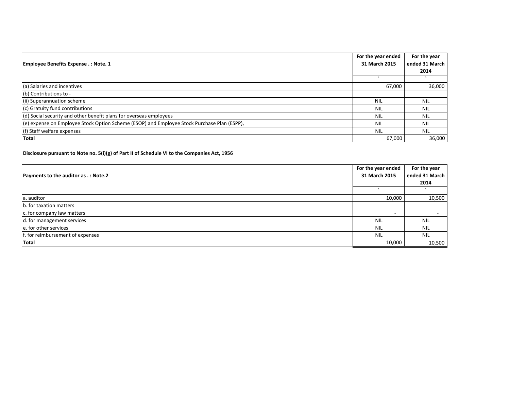| For the year ended                                                                          |               | For the year<br>ended 31 March |
|---------------------------------------------------------------------------------------------|---------------|--------------------------------|
| Employee Benefits Expense .: Note. 1                                                        | 31 March 2015 | 2014                           |
|                                                                                             |               |                                |
| (a) Salaries and incentives                                                                 | 67,000        | 36,000                         |
| (b) Contributions to -                                                                      |               |                                |
| (ii) Superannuation scheme                                                                  | NIL           | <b>NIL</b>                     |
| (c) Gratuity fund contributions                                                             | <b>NIL</b>    | <b>NIL</b>                     |
| (d) Social security and other benefit plans for overseas employees                          | <b>NIL</b>    | <b>NIL</b>                     |
| (e) expense on Employee Stock Option Scheme (ESOP) and Employee Stock Purchase Plan (ESPP), | <b>NIL</b>    | <b>NIL</b>                     |
| (f) Staff welfare expenses                                                                  | NIL           | <b>NIL</b>                     |
| <b>Total</b>                                                                                | 67,000        | 36,000                         |

**Disclosure pursuant to Note no. 5(i)(g) of Part II of Schedule VI to the Companies Act, 1956**

| <b>Payments to the auditor as .: Note.2</b> |               | For the year<br>ended 31 March |
|---------------------------------------------|---------------|--------------------------------|
|                                             | 31 March 2015 | 2014                           |
|                                             |               |                                |
| a. auditor                                  | 10,000        | 10,500                         |
| b. for taxation matters                     |               |                                |
| c. for company law matters                  |               |                                |
| d. for management services                  | <b>NIL</b>    | <b>NIL</b>                     |
| e. for other services                       | <b>NIL</b>    | <b>NIL</b>                     |
| f. for reimbursement of expenses            | <b>NIL</b>    | <b>NIL</b>                     |
| <b>Total</b>                                | 10.000        | 10,500                         |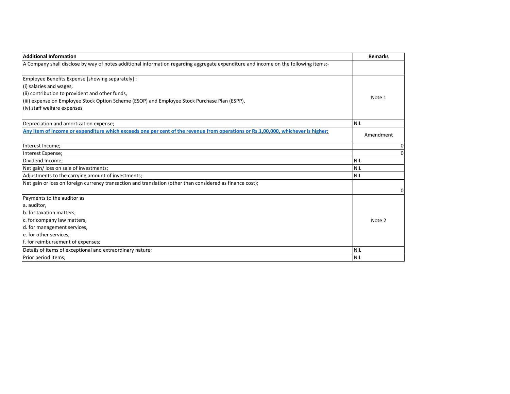| <b>Additional Information</b>                                                                                                       | <b>Remarks</b> |
|-------------------------------------------------------------------------------------------------------------------------------------|----------------|
| A Company shall disclose by way of notes additional information regarding aggregate expenditure and income on the following items:- |                |
| Employee Benefits Expense [showing separately] :                                                                                    |                |
| (i) salaries and wages,                                                                                                             |                |
| (ii) contribution to provident and other funds,                                                                                     | Note 1         |
| (iii) expense on Employee Stock Option Scheme (ESOP) and Employee Stock Purchase Plan (ESPP),                                       |                |
| (iv) staff welfare expenses                                                                                                         |                |
| Depreciation and amortization expense;                                                                                              | <b>NIL</b>     |
| Any item of income or expenditure which exceeds one per cent of the revenue from operations or Rs.1,00,000, whichever is higher;    | Amendment      |
| Interest Income;                                                                                                                    |                |
| Interest Expense;                                                                                                                   | 0              |
| Dividend Income;                                                                                                                    | <b>NIL</b>     |
| Net gain/ loss on sale of investments;                                                                                              | <b>NIL</b>     |
| Adjustments to the carrying amount of investments;                                                                                  | <b>NIL</b>     |
| Net gain or loss on foreign currency transaction and translation (other than considered as finance cost);                           |                |
| Payments to the auditor as                                                                                                          |                |
| a. auditor,                                                                                                                         |                |
| b. for taxation matters,                                                                                                            |                |
| c. for company law matters,                                                                                                         | Note 2         |
| d. for management services,                                                                                                         |                |
| e. for other services,                                                                                                              |                |
| f. for reimbursement of expenses;                                                                                                   |                |
| Details of items of exceptional and extraordinary nature;                                                                           | <b>NIL</b>     |
| Prior period items;                                                                                                                 | INIL           |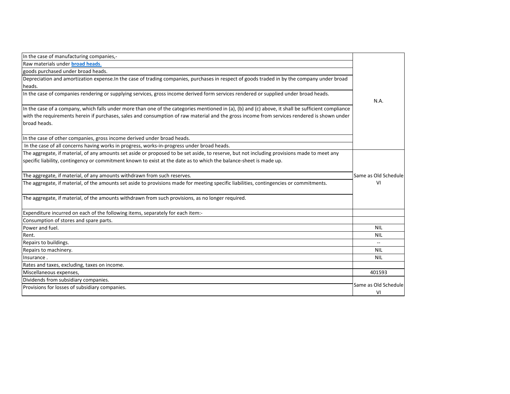| In the case of manufacturing companies,-                                                                                                           |                            |
|----------------------------------------------------------------------------------------------------------------------------------------------------|----------------------------|
| Raw materials under <b>broad heads</b> .                                                                                                           |                            |
| goods purchased under broad heads.                                                                                                                 |                            |
| Depreciation and amortization expense. In the case of trading companies, purchases in respect of goods traded in by the company under broad        |                            |
| heads.                                                                                                                                             |                            |
| In the case of companies rendering or supplying services, gross income derived form services rendered or supplied under broad heads.               | N.A.                       |
| In the case of a company, which falls under more than one of the categories mentioned in (a), (b) and (c) above, it shall be sufficient compliance |                            |
| with the requirements herein if purchases, sales and consumption of raw material and the gross income from services rendered is shown under        |                            |
| broad heads.                                                                                                                                       |                            |
| In the case of other companies, gross income derived under broad heads.                                                                            |                            |
| In the case of all concerns having works in progress, works-in-progress under broad heads.                                                         |                            |
| The aggregate, if material, of any amounts set aside or proposed to be set aside, to reserve, but not including provisions made to meet any        |                            |
| specific liability, contingency or commitment known to exist at the date as to which the balance-sheet is made up.                                 |                            |
| The aggregate, if material, of any amounts withdrawn from such reserves.                                                                           | Same as Old Schedule       |
| The aggregate, if material, of the amounts set aside to provisions made for meeting specific liabilities, contingencies or commitments.            | vı                         |
| The aggregate, if material, of the amounts withdrawn from such provisions, as no longer required.                                                  |                            |
| Expenditure incurred on each of the following items, separately for each item:-                                                                    |                            |
| Consumption of stores and spare parts.                                                                                                             |                            |
| Power and fuel.                                                                                                                                    | <b>NIL</b>                 |
| Rent.                                                                                                                                              | NIL                        |
| Repairs to buildings.                                                                                                                              |                            |
| Repairs to machinery.                                                                                                                              | <b>NIL</b>                 |
| Insurance.                                                                                                                                         | <b>NIL</b>                 |
| Rates and taxes, excluding, taxes on income.                                                                                                       |                            |
| Miscellaneous expenses,                                                                                                                            | 401593                     |
| Dividends from subsidiary companies.                                                                                                               |                            |
| Provisions for losses of subsidiary companies.                                                                                                     | Same as Old Schedule<br>VI |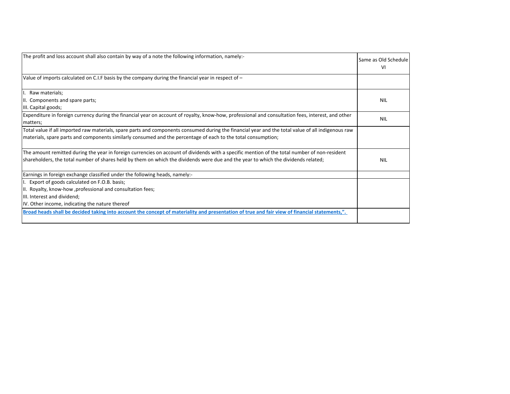| The profit and loss account shall also contain by way of a note the following information, namely:-                                                            | Same as Old Schedule<br>VI |
|----------------------------------------------------------------------------------------------------------------------------------------------------------------|----------------------------|
| Value of imports calculated on C.I.F basis by the company during the financial year in respect of $-$                                                          |                            |
| I. Raw materials;                                                                                                                                              |                            |
| II. Components and spare parts;                                                                                                                                | <b>NIL</b>                 |
| III. Capital goods;                                                                                                                                            |                            |
| Expenditure in foreign currency during the financial year on account of royalty, know-how, professional and consultation fees, interest, and other<br>matters; | <b>NIL</b>                 |
| Total value if all imported raw materials, spare parts and components consumed during the financial year and the total value of all indigenous raw             |                            |
| materials, spare parts and components similarly consumed and the percentage of each to the total consumption;                                                  |                            |
| The amount remitted during the year in foreign currencies on account of dividends with a specific mention of the total number of non-resident                  |                            |
| shareholders, the total number of shares held by them on which the dividends were due and the year to which the dividends related;                             | <b>NIL</b>                 |
| Earnings in foreign exchange classified under the following heads, namely:-                                                                                    |                            |
| I. Export of goods calculated on F.O.B. basis;                                                                                                                 |                            |
| II. Royalty, know-how, professional and consultation fees;                                                                                                     |                            |
| III. Interest and dividend;                                                                                                                                    |                            |
| IV. Other income, indicating the nature thereof                                                                                                                |                            |
| Broad heads shall be decided taking into account the concept of materiality and presentation of true and fair view of financial statements,".                  |                            |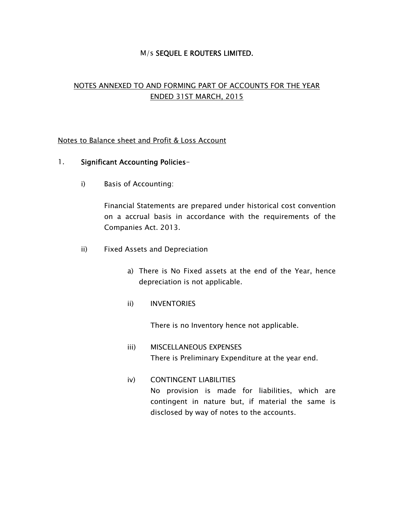# M/s SEQUEL E ROUTERS LIMITED.

# NOTES ANNEXED TO AND FORMING PART OF ACCOUNTS FOR THE YEAR ENDED 31ST MARCH, 2015

## Notes to Balance sheet and Profit & Loss Account

## 1. Significant Accounting Policies-

i) Basis of Accounting:

Financial Statements are prepared under historical cost convention on a accrual basis in accordance with the requirements of the Companies Act. 2013.

- ii) Fixed Assets and Depreciation
	- a) There is No Fixed assets at the end of the Year, hence depreciation is not applicable.
	- ii) INVENTORIES

There is no Inventory hence not applicable.

- iii) MISCELLANEOUS EXPENSES There is Preliminary Expenditure at the year end.
- iv) CONTINGENT LIABILITIES No provision is made for liabilities, which are contingent in nature but, if material the same is disclosed by way of notes to the accounts.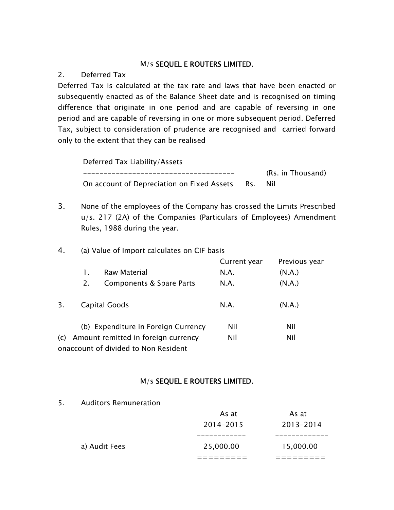# M/s SEQUEL E ROUTERS LIMITED.

# 2. Deferred Tax

Deferred Tax is calculated at the tax rate and laws that have been enacted or subsequently enacted as of the Balance Sheet date and is recognised on timing difference that originate in one period and are capable of reversing in one period and are capable of reversing in one or more subsequent period. Deferred Tax, subject to consideration of prudence are recognised and carried forward only to the extent that they can be realised

Deferred Tax Liability/Assets ------------------------------------- (Rs. in Thousand) On account of Depreciation on Fixed Assets Rs. Nil

3. None of the employees of the Company has crossed the Limits Prescribed u/s. 217 (2A) of the Companies (Particulars of Employees) Amendment Rules, 1988 during the year.

# 4. (a) Value of Import calculates on CIF basis

|                                            |    |                                      | Current year | Previous year |
|--------------------------------------------|----|--------------------------------------|--------------|---------------|
|                                            |    | Raw Material                         | N.A.         | (N.A.)        |
|                                            | 2. | Components & Spare Parts             | N.A.         | (N.A.)        |
| 3.                                         |    | Capital Goods                        | N.A.         | (N.A.)        |
|                                            |    | (b) Expenditure in Foreign Currency  | Nil          | Nil           |
| Amount remitted in foreign currency<br>(c) |    | Nil                                  | Nil          |               |
|                                            |    | onaccount of divided to Non Resident |              |               |

# M/s SEQUEL E ROUTERS LIMITED.

5. Auditors Remuneration

|               | As at      | As at     |
|---------------|------------|-----------|
|               | 2014-2015  | 2013-2014 |
|               | ---------- | ______    |
| a) Audit Fees | 25,000.00  | 15,000.00 |
|               |            |           |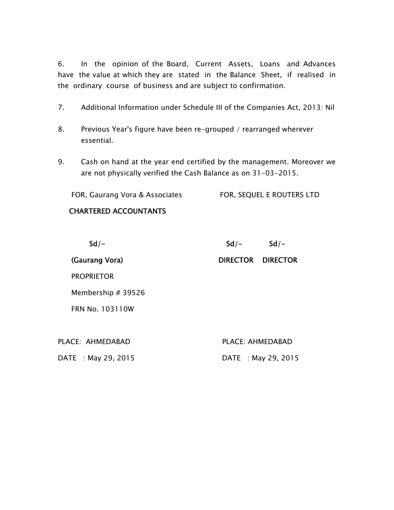6. In the opinion of the Board, Current Assets, Loans and Advances have the value at which they are stated in the Balance Sheet, if realised in the ordinary course of business and are subject to confirmation.

- 7. Additional Information under Schedule III of the Companies Act, 2013: Nil
- 8. Previous Year's figure have been re-grouped / rearranged wherever essential.
- 9. Cash on hand at the year end certified by the management. Moreover we are not physically verified the Cash Balance as on 31-03-2015.

FOR, Gaurang Vora & Associates FOR, SEQUEL E ROUTERS LTD

# CHARTERED ACCOUNTANTS

| $Sd/-$                 | $Sd/-$                  | $Sd/-$          |
|------------------------|-------------------------|-----------------|
| (Gaurang Vora)         | <b>DIRECTOR</b>         | <b>DIRECTOR</b> |
| <b>PROPRIETOR</b>      |                         |                 |
| Membership # 39526     |                         |                 |
| <b>FRN No. 103110W</b> |                         |                 |
|                        |                         |                 |
| PLACE: AHMEDABAD       | <b>PLACE: AHMEDABAD</b> |                 |
| DATE : May 29, 2015    | DATE : May 29, 2015     |                 |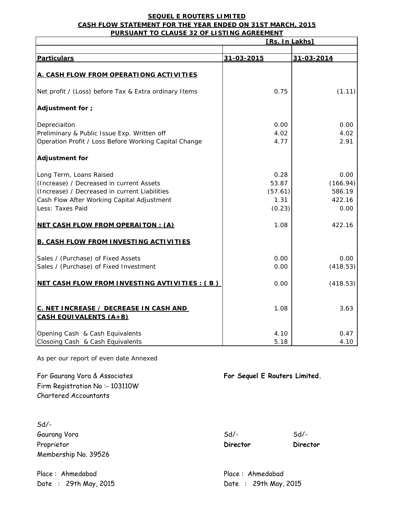#### **SEQUEL E ROUTERS LIMITED CASH FLOW STATEMENT FOR THE YEAR ENDED ON 31ST MARCH, 2015 PURSUANT TO CLAUSE 32 OF LISTING AGREEMENT**

|                                                                         | [Rs. In Lakhs] |            |
|-------------------------------------------------------------------------|----------------|------------|
|                                                                         |                |            |
| <b>Particulars</b>                                                      | 31-03-2015     | 31-03-2014 |
| A. CASH FLOW FROM OPERATIONG ACTIVITIES                                 |                |            |
|                                                                         |                |            |
| Net profit / (Loss) before Tax & Extra ordinary Items                   | 0.75           | (1.11)     |
| Adjustment for ;                                                        |                |            |
| Depreciaiton                                                            | 0.00           | 0.00       |
| Preliminary & Public Issue Exp. Written off                             | 4.02           | 4.02       |
| Operation Profit / Loss Before Working Capital Change                   | 4.77           | 2.91       |
| <b>Adjustment for</b>                                                   |                |            |
| Long Term, Loans Raised                                                 | 0.28           | 0.00       |
| (Increase) / Decreased in current Assets                                | 53.87          | (166.94)   |
| (Increase) / Decreased in current Liabilities                           | (57.61)        | 586.19     |
| Cash Flow After Working Capital Adjustment                              | 1.31           | 422.16     |
| Less: Taxes Paid                                                        | (0.23)         | 0.00       |
| <b>NET CASH FLOW FROM OPERAITON: (A)</b>                                | 1.08           | 422.16     |
| <b>B. CASH FLOW FROM INVESTING ACTIVITIES</b>                           |                |            |
| Sales / (Purchase) of Fixed Assets                                      | 0.00           | 0.00       |
| Sales / (Purchase) of Fixed Investment                                  | 0.00           | (418.53)   |
| NET CASH FLOW FROM INVESTING AVTIVITIES : (B)                           | 0.00           | (418.53)   |
| C. NET INCREASE / DECREASE IN CASH AND<br><b>CASH EQUIVALENTS (A+B)</b> | 1.08           | 3.63       |
| Opening Cash & Cash Equivalents                                         | 4.10           | 0.47       |
| Closoing Cash & Cash Equivalents                                        | 5.18           | 4.10       |

As per our report of even date Annexed

For Gaurang Vora & Associates **For Sequel E Routers Limited.** Firm Registration No :- 103110W Chartered Accountants

Sd/- Gaurang Vora and Sollar Sollars and Sollars Sollars Sollars Sollars Sollars Sollars Sollars Sollars Sollars So Proprietor **Director Director Director Director** Membership No. 39526

Place : Ahmedabad Place : Ahmedabad Place : Ahmedabad

Date : 29th May, 2015 Date : 29th May, 2015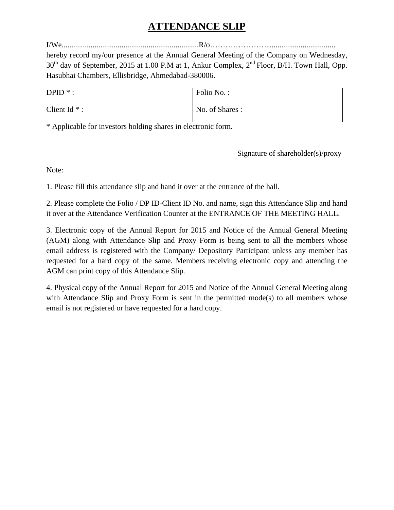# **ATTENDANCE SLIP**

I/We.......................................................................R/o…………………….................................

hereby record my/our presence at the Annual General Meeting of the Company on Wednesday, 30<sup>th</sup> day of September, 2015 at 1.00 P.M at 1, Ankur Complex, 2<sup>nd</sup> Floor, B/H. Town Hall, Opp. Hasubhai Chambers, Ellisbridge, Ahmedabad-380006.

| $DPID$ *:       | Folio No.:     |
|-----------------|----------------|
| Client Id $*$ : | No. of Shares: |

\* Applicable for investors holding shares in electronic form.

Signature of shareholder(s)/proxy

Note:

1. Please fill this attendance slip and hand it over at the entrance of the hall.

2. Please complete the Folio / DP ID-Client ID No. and name, sign this Attendance Slip and hand it over at the Attendance Verification Counter at the ENTRANCE OF THE MEETING HALL.

3. Electronic copy of the Annual Report for 2015 and Notice of the Annual General Meeting (AGM) along with Attendance Slip and Proxy Form is being sent to all the members whose email address is registered with the Company/ Depository Participant unless any member has requested for a hard copy of the same. Members receiving electronic copy and attending the AGM can print copy of this Attendance Slip.

4. Physical copy of the Annual Report for 2015 and Notice of the Annual General Meeting along with Attendance Slip and Proxy Form is sent in the permitted mode(s) to all members whose email is not registered or have requested for a hard copy.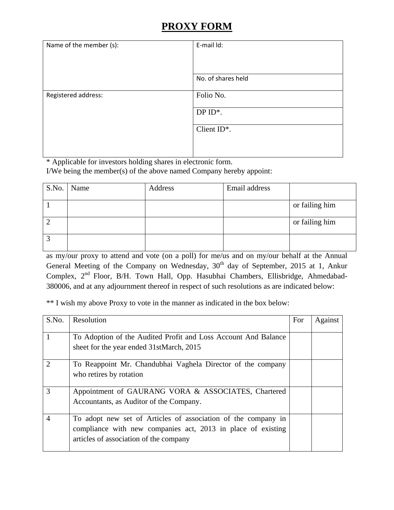# **PROXY FORM**

| Name of the member (s): | E-mail Id:         |
|-------------------------|--------------------|
|                         |                    |
|                         | No. of shares held |
| Registered address:     | Folio No.          |
|                         | DP $ID^*$ .        |
|                         | Client ID*.        |
|                         |                    |

\* Applicable for investors holding shares in electronic form.

I/We being the member(s) of the above named Company hereby appoint:

|                | S.No. Name | Address | Email address |                |
|----------------|------------|---------|---------------|----------------|
|                |            |         |               | or failing him |
|                |            |         |               |                |
| $\overline{2}$ |            |         |               | or failing him |
| 2              |            |         |               |                |
|                |            |         |               |                |

as my/our proxy to attend and vote (on a poll) for me/us and on my/our behalf at the Annual General Meeting of the Company on Wednesday,  $30<sup>th</sup>$  day of September, 2015 at 1, Ankur Complex, 2<sup>nd</sup> Floor, B/H. Town Hall, Opp. Hasubhai Chambers, Ellisbridge, Ahmedabad-380006, and at any adjournment thereof in respect of such resolutions as are indicated below:

\*\* I wish my above Proxy to vote in the manner as indicated in the box below:

| S.No.          | Resolution                                                                                                                                                              | For | Against |
|----------------|-------------------------------------------------------------------------------------------------------------------------------------------------------------------------|-----|---------|
|                | To Adoption of the Audited Profit and Loss Account And Balance<br>sheet for the year ended 31stMarch, 2015                                                              |     |         |
| $\overline{2}$ | To Reappoint Mr. Chandubhai Vaghela Director of the company<br>who retires by rotation                                                                                  |     |         |
| 3              | Appointment of GAURANG VORA & ASSOCIATES, Chartered<br>Accountants, as Auditor of the Company.                                                                          |     |         |
| $\overline{4}$ | To adopt new set of Articles of association of the company in<br>compliance with new companies act, 2013 in place of existing<br>articles of association of the company |     |         |